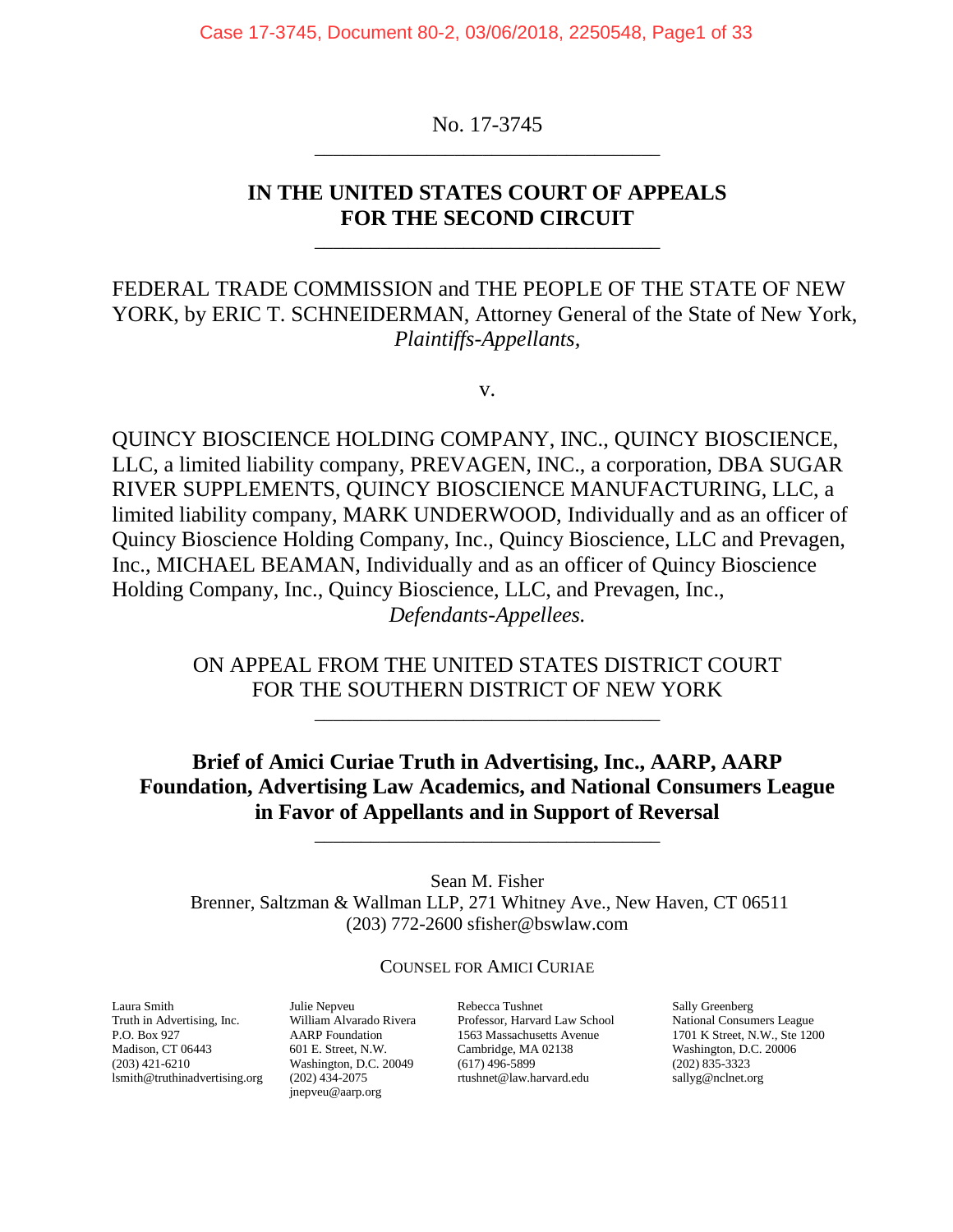Case 17-3745, Document 80-2, 03/06/2018, 2250548, Page1 of 33

No. 17-3745 \_\_\_\_\_\_\_\_\_\_\_\_\_\_\_\_\_\_\_\_\_\_\_\_\_\_\_\_\_\_\_\_\_\_\_\_\_

### **IN THE UNITED STATES COURT OF APPEALS FOR THE SECOND CIRCUIT**

\_\_\_\_\_\_\_\_\_\_\_\_\_\_\_\_\_\_\_\_\_\_\_\_\_\_\_\_\_\_\_\_\_\_\_\_\_

FEDERAL TRADE COMMISSION and THE PEOPLE OF THE STATE OF NEW YORK, by ERIC T. SCHNEIDERMAN, Attorney General of the State of New York, *Plaintiffs-Appellants,*

v.

QUINCY BIOSCIENCE HOLDING COMPANY, INC., QUINCY BIOSCIENCE, LLC, a limited liability company, PREVAGEN, INC., a corporation, DBA SUGAR RIVER SUPPLEMENTS, QUINCY BIOSCIENCE MANUFACTURING, LLC, a limited liability company, MARK UNDERWOOD, Individually and as an officer of Quincy Bioscience Holding Company, Inc., Quincy Bioscience, LLC and Prevagen, Inc., MICHAEL BEAMAN, Individually and as an officer of Quincy Bioscience Holding Company, Inc., Quincy Bioscience, LLC, and Prevagen, Inc., *Defendants-Appellees.*

> ON APPEAL FROM THE UNITED STATES DISTRICT COURT FOR THE SOUTHERN DISTRICT OF NEW YORK

> > \_\_\_\_\_\_\_\_\_\_\_\_\_\_\_\_\_\_\_\_\_\_\_\_\_\_\_\_\_\_\_\_\_\_\_\_\_

**Brief of Amici Curiae Truth in Advertising, Inc., AARP, AARP Foundation, Advertising Law Academics, and National Consumers League in Favor of Appellants and in Support of Reversal**

\_\_\_\_\_\_\_\_\_\_\_\_\_\_\_\_\_\_\_\_\_\_\_\_\_\_\_\_\_\_\_\_\_\_\_\_\_

Sean M. Fisher Brenner, Saltzman & Wallman LLP, 271 Whitney Ave., New Haven, CT 06511 (203) 772-2600 [sfisher@bswlaw.com](mailto:sfisher@bswlaw.com)

COUNSEL FOR AMICI CURIAE

Laura Smith Julie Nepveu Rebecca Tushnet Sally Greenberg Truth in Advertising, Inc. William Alvarado Rivera Professor, Harvard Law School National Consumers League Madison, CT 06443 601 E. Street, N.W. Cambridge, MA 02138 Washington, D.C. 20006<br>
(203) 421-6210 Washington, D.C. 20049 (617) 496-5899 (202) 835-3323 [lsmith@truthinadvertising.org](mailto:lsmith@truthinadvertising.org)

[jnepveu@aarp.org](mailto:jnepveu@aarp.org)

Washington, D.C. 20049 (617) 496-5899 (202) 835-3323<br>(202) 434-2075 rushnet@law.harvard.edu sallyg@nclnet.org

P.O. Box 927 AARP Foundation 1563 Massachusetts Avenue 1701 K Street, N.W., Ste 1200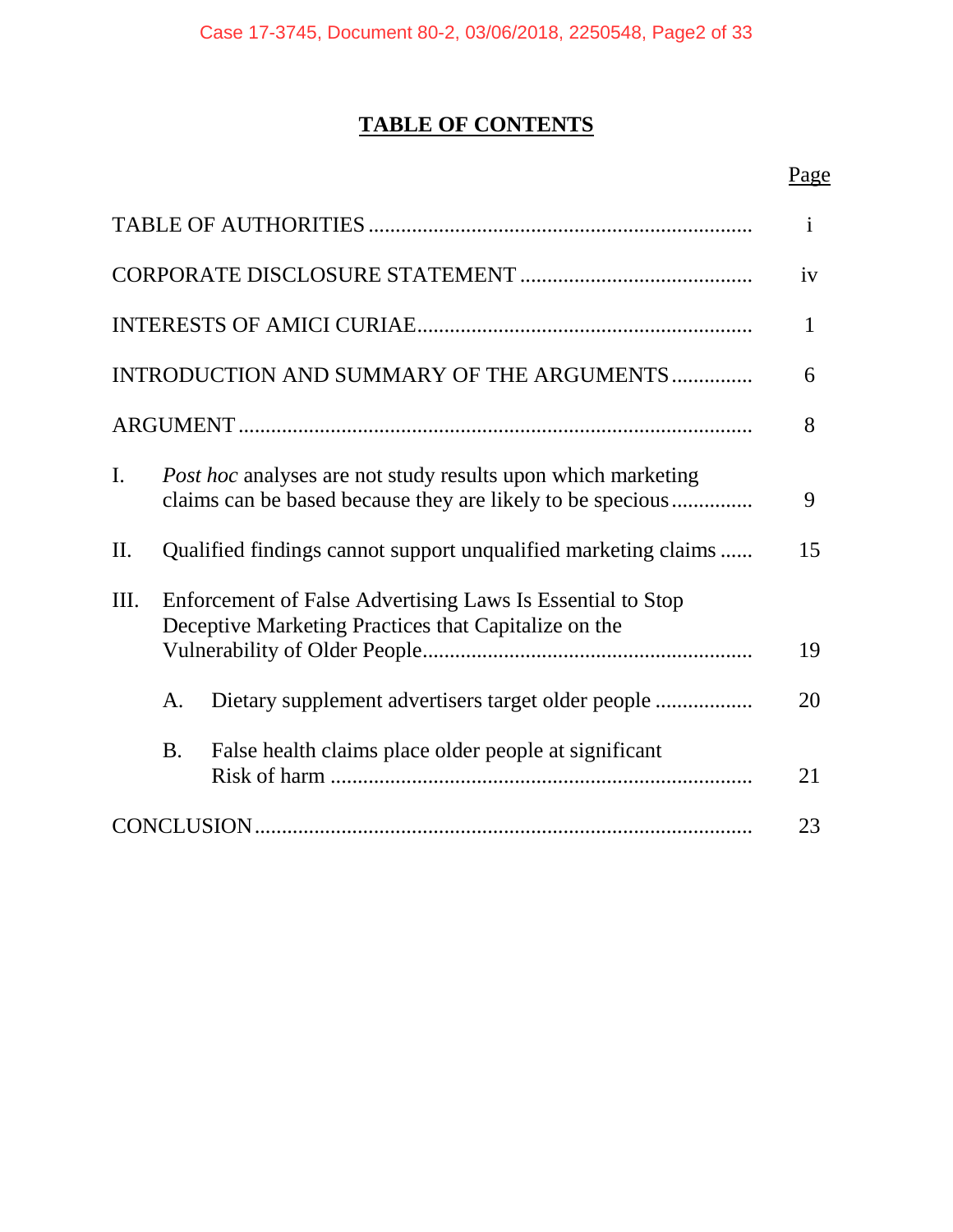# **TABLE OF CONTENTS**

## Page

|     |                                                                                                                    |                                                                                                                                   | $\mathbf{i}$ |  |
|-----|--------------------------------------------------------------------------------------------------------------------|-----------------------------------------------------------------------------------------------------------------------------------|--------------|--|
|     |                                                                                                                    |                                                                                                                                   | iv           |  |
|     |                                                                                                                    |                                                                                                                                   | $\mathbf{1}$ |  |
|     |                                                                                                                    | INTRODUCTION AND SUMMARY OF THE ARGUMENTS                                                                                         | 6            |  |
|     |                                                                                                                    |                                                                                                                                   | 8            |  |
| I.  |                                                                                                                    | <i>Post hoc</i> analyses are not study results upon which marketing<br>claims can be based because they are likely to be specious | 9            |  |
| II. |                                                                                                                    | Qualified findings cannot support unqualified marketing claims                                                                    | 15           |  |
| Ш.  | Enforcement of False Advertising Laws Is Essential to Stop<br>Deceptive Marketing Practices that Capitalize on the |                                                                                                                                   |              |  |
|     | Α.                                                                                                                 |                                                                                                                                   | 20           |  |
|     | <b>B.</b>                                                                                                          | False health claims place older people at significant                                                                             | 21           |  |
|     |                                                                                                                    |                                                                                                                                   | 23           |  |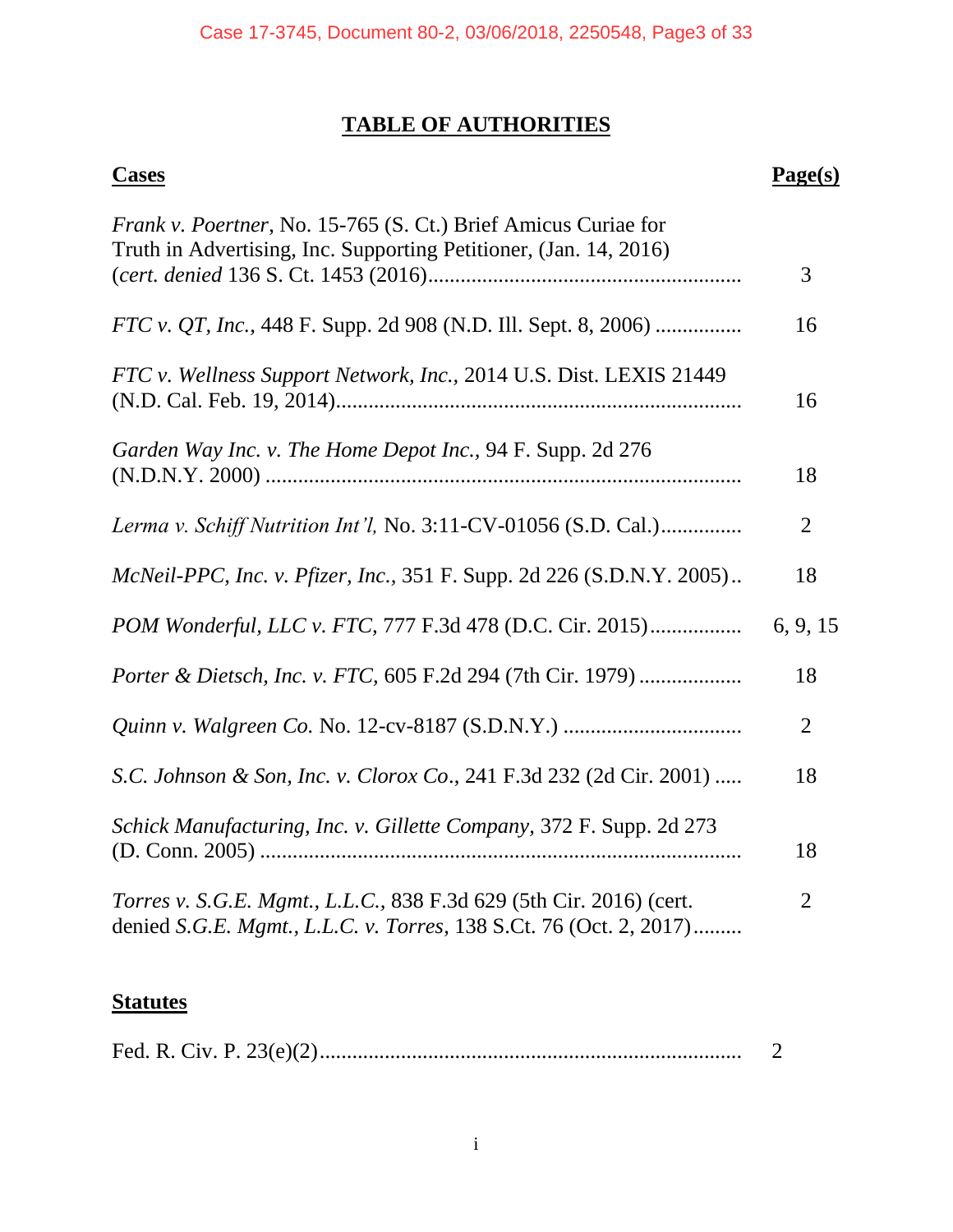## **TABLE OF AUTHORITIES**

| <b>Cases</b>                                                                                                                                | Page(s)        |
|---------------------------------------------------------------------------------------------------------------------------------------------|----------------|
| <i>Frank v. Poertner</i> , No. 15-765 (S. Ct.) Brief Amicus Curiae for<br>Truth in Advertising, Inc. Supporting Petitioner, (Jan. 14, 2016) | 3              |
| <i>FTC v. QT, Inc.,</i> 448 F. Supp. 2d 908 (N.D. Ill. Sept. 8, 2006)                                                                       | 16             |
| FTC v. Wellness Support Network, Inc., 2014 U.S. Dist. LEXIS 21449                                                                          | 16             |
| Garden Way Inc. v. The Home Depot Inc., 94 F. Supp. 2d 276                                                                                  | 18             |
| Lerma v. Schiff Nutrition Int'l, No. 3:11-CV-01056 (S.D. Cal.)                                                                              | $\overline{2}$ |
| McNeil-PPC, Inc. v. Pfizer, Inc., 351 F. Supp. 2d 226 (S.D.N.Y. 2005)                                                                       | 18             |
| POM Wonderful, LLC v. FTC, 777 F.3d 478 (D.C. Cir. 2015)                                                                                    | 6, 9, 15       |
| Porter & Dietsch, Inc. v. FTC, 605 F.2d 294 (7th Cir. 1979)                                                                                 | 18             |
|                                                                                                                                             | $\overline{2}$ |
| S.C. Johnson & Son, Inc. v. Clorox Co., 241 F.3d 232 (2d Cir. 2001)                                                                         | 18             |
| Schick Manufacturing, Inc. v. Gillette Company, 372 F. Supp. 2d 273                                                                         | 18             |
| Torres v. S.G.E. Mgmt., L.L.C., 838 F.3d 629 (5th Cir. 2016) (cert.<br>denied S.G.E. Mgmt., L.L.C. v. Torres, 138 S.Ct. 76 (Oct. 2, 2017)   | 2              |
|                                                                                                                                             |                |

## **Statutes**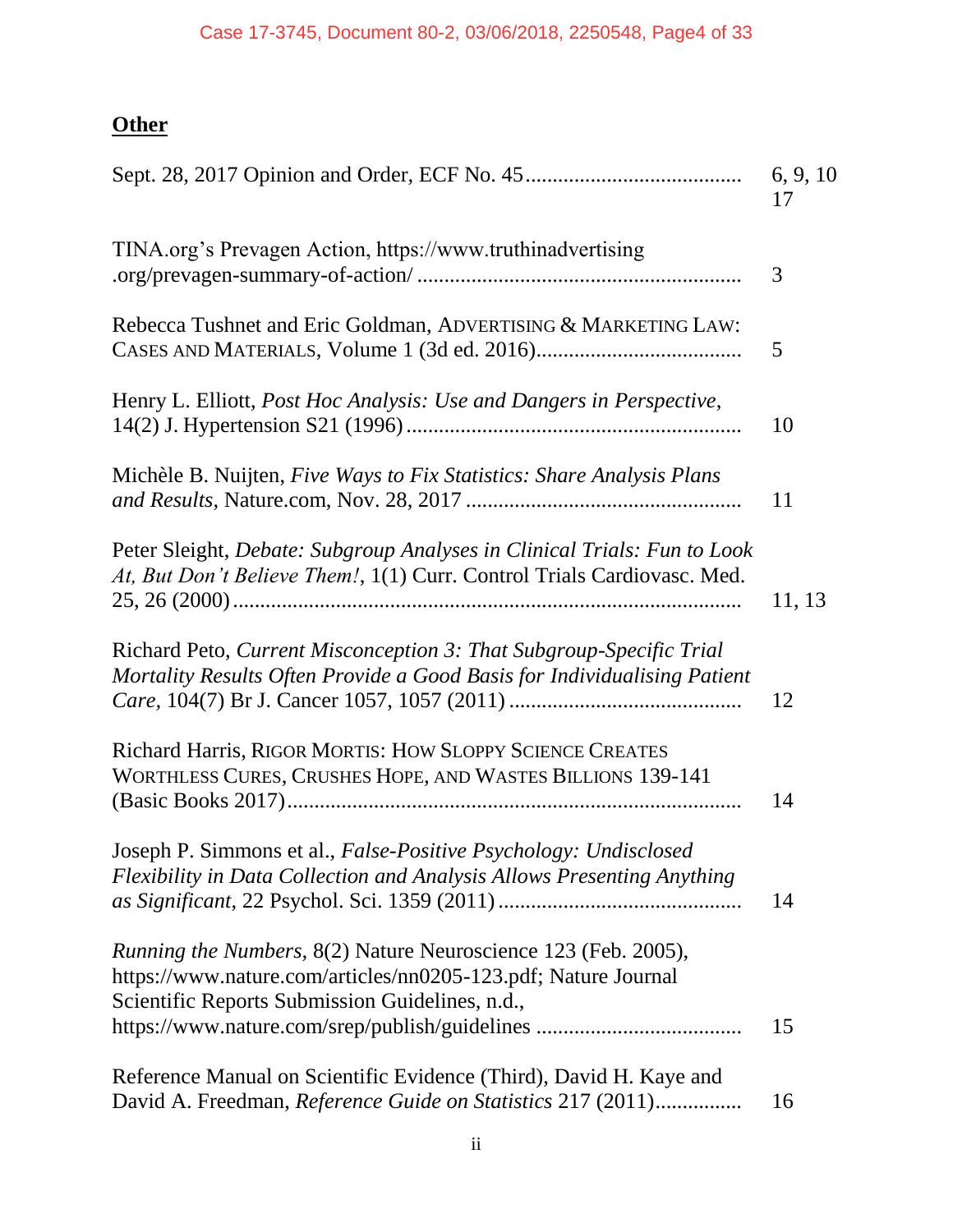# **Other**

|                                                                                                                                                                                     | 6, 9, 10<br>17 |
|-------------------------------------------------------------------------------------------------------------------------------------------------------------------------------------|----------------|
| TINA.org's Prevagen Action, https://www.truthinadvertising                                                                                                                          | 3              |
| Rebecca Tushnet and Eric Goldman, ADVERTISING & MARKETING LAW:                                                                                                                      | 5              |
| Henry L. Elliott, Post Hoc Analysis: Use and Dangers in Perspective,                                                                                                                | 10             |
| Michèle B. Nuijten, Five Ways to Fix Statistics: Share Analysis Plans                                                                                                               | 11             |
| Peter Sleight, Debate: Subgroup Analyses in Clinical Trials: Fun to Look<br>At, But Don't Believe Them!, 1(1) Curr. Control Trials Cardiovasc. Med.                                 | 11, 13         |
| Richard Peto, Current Misconception 3: That Subgroup-Specific Trial<br>Mortality Results Often Provide a Good Basis for Individualising Patient                                     | 12             |
| Richard Harris, RIGOR MORTIS: HOW SLOPPY SCIENCE CREATES<br>WORTHLESS CURES, CRUSHES HOPE, AND WASTES BILLIONS 139-141                                                              | 14             |
| Joseph P. Simmons et al., False-Positive Psychology: Undisclosed<br>Flexibility in Data Collection and Analysis Allows Presenting Anything                                          | 14             |
| Running the Numbers, 8(2) Nature Neuroscience 123 (Feb. 2005),<br>https://www.nature.com/articles/nn0205-123.pdf; Nature Journal<br>Scientific Reports Submission Guidelines, n.d., | 15             |
| Reference Manual on Scientific Evidence (Third), David H. Kaye and<br>David A. Freedman, Reference Guide on Statistics 217 (2011)                                                   | 16             |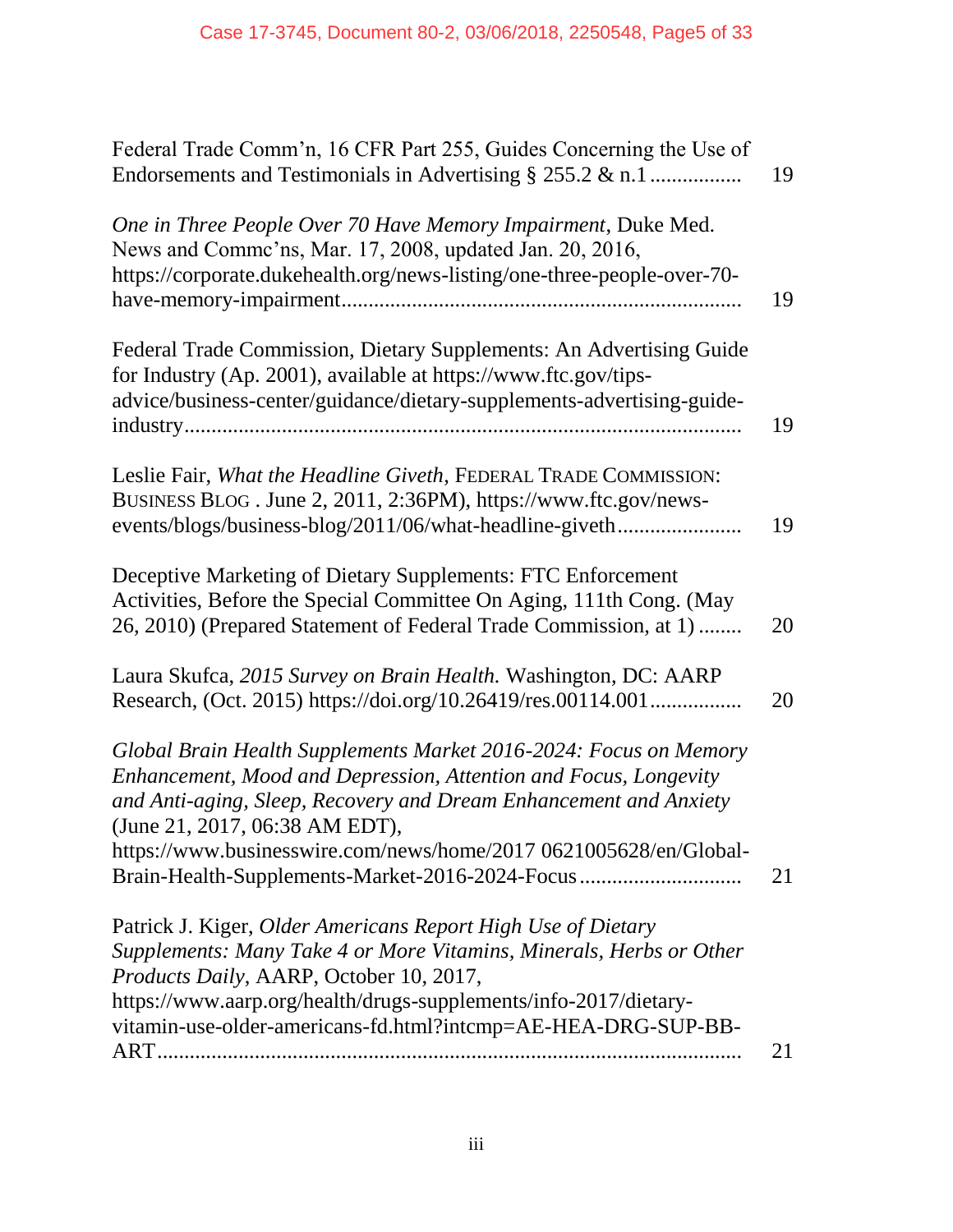| Federal Trade Comm'n, 16 CFR Part 255, Guides Concerning the Use of<br>Endorsements and Testimonials in Advertising $\S$ 255.2 & n.1                                                                                                                                                                                                                                 | 19 |
|----------------------------------------------------------------------------------------------------------------------------------------------------------------------------------------------------------------------------------------------------------------------------------------------------------------------------------------------------------------------|----|
| One in Three People Over 70 Have Memory Impairment, Duke Med.<br>News and Commc'ns, Mar. 17, 2008, updated Jan. 20, 2016,<br>https://corporate.dukehealth.org/news-listing/one-three-people-over-70-                                                                                                                                                                 | 19 |
| Federal Trade Commission, Dietary Supplements: An Advertising Guide<br>for Industry (Ap. 2001), available at https://www.ftc.gov/tips-<br>advice/business-center/guidance/dietary-supplements-advertising-guide-                                                                                                                                                     | 19 |
| Leslie Fair, What the Headline Giveth, FEDERAL TRADE COMMISSION:<br>BUSINESS BLOG. June 2, 2011, 2:36PM), https://www.ftc.gov/news-<br>events/blogs/business-blog/2011/06/what-headline-giveth                                                                                                                                                                       | 19 |
| Deceptive Marketing of Dietary Supplements: FTC Enforcement<br>Activities, Before the Special Committee On Aging, 111th Cong. (May<br>26, 2010) (Prepared Statement of Federal Trade Commission, at 1)                                                                                                                                                               | 20 |
| Laura Skufca, 2015 Survey on Brain Health. Washington, DC: AARP<br>Research, (Oct. 2015) https://doi.org/10.26419/res.00114.001                                                                                                                                                                                                                                      | 20 |
| Global Brain Health Supplements Market 2016-2024: Focus on Memory<br>Enhancement, Mood and Depression, Attention and Focus, Longevity<br>and Anti-aging, Sleep, Recovery and Dream Enhancement and Anxiety<br>(June 21, 2017, 06:38 AM EDT),<br>https://www.businesswire.com/news/home/2017 0621005628/en/Global-<br>Brain-Health-Supplements-Market-2016-2024-Focus | 21 |
| Patrick J. Kiger, Older Americans Report High Use of Dietary<br>Supplements: Many Take 4 or More Vitamins, Minerals, Herbs or Other<br>Products Daily, AARP, October 10, 2017,<br>https://www.aarp.org/health/drugs-supplements/info-2017/dietary-<br>vitamin-use-older-americans-fd.html?intcmp=AE-HEA-DRG-SUP-BB-                                                  |    |
|                                                                                                                                                                                                                                                                                                                                                                      | 21 |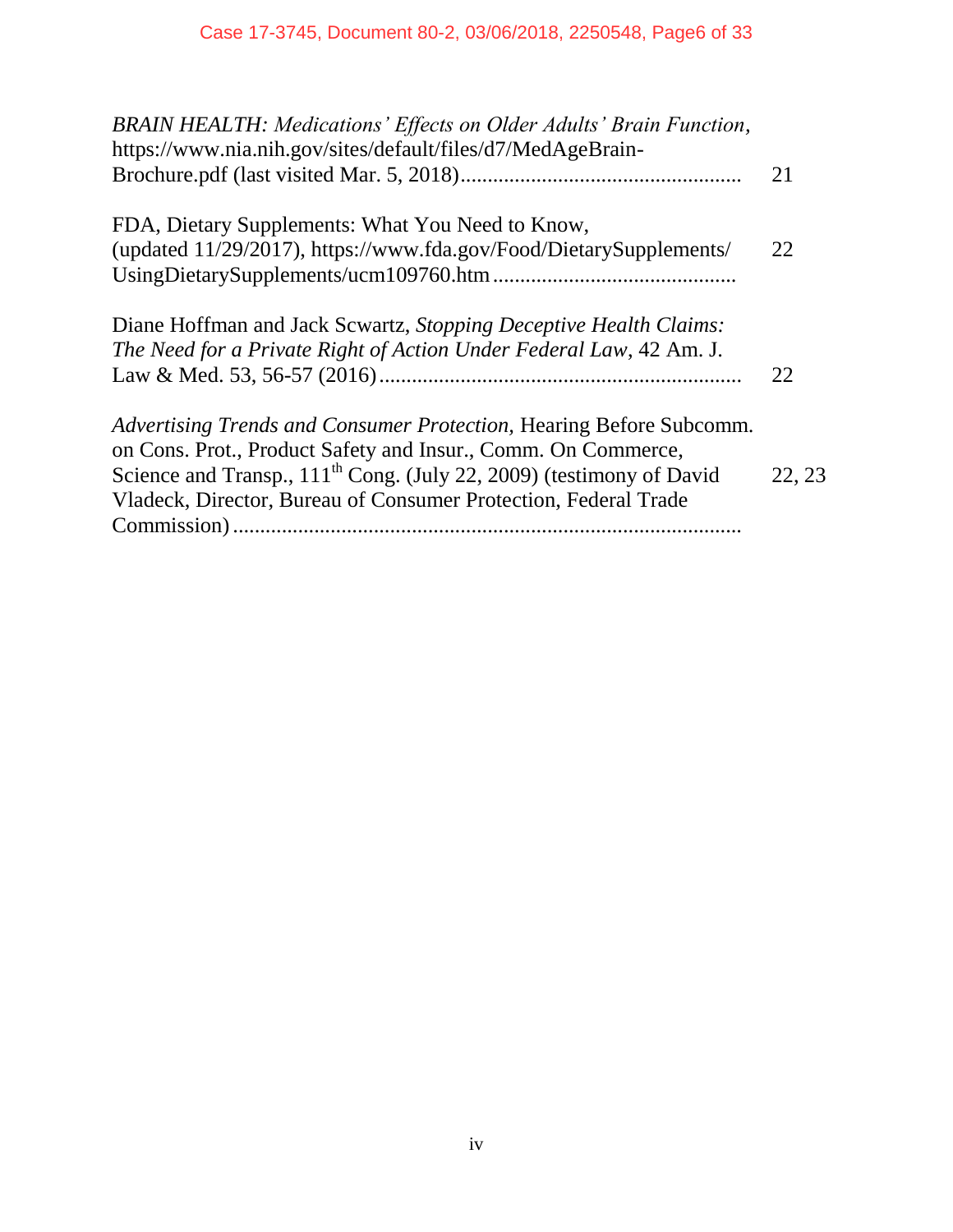| <b>BRAIN HEALTH: Medications' Effects on Older Adults' Brain Function,</b><br>https://www.nia.nih.gov/sites/default/files/d7/MedAgeBrain- |        |
|-------------------------------------------------------------------------------------------------------------------------------------------|--------|
|                                                                                                                                           | 21     |
| FDA, Dietary Supplements: What You Need to Know,                                                                                          |        |
| (updated 11/29/2017), https://www.fda.gov/Food/DietarySupplements/                                                                        | 22     |
|                                                                                                                                           |        |
| Diane Hoffman and Jack Scwartz, Stopping Deceptive Health Claims:                                                                         |        |
| The Need for a Private Right of Action Under Federal Law, 42 Am. J.                                                                       |        |
|                                                                                                                                           | 22     |
| Advertising Trends and Consumer Protection, Hearing Before Subcomm.                                                                       |        |
| on Cons. Prot., Product Safety and Insur., Comm. On Commerce,                                                                             |        |
| Science and Transp., 111 <sup>th</sup> Cong. (July 22, 2009) (testimony of David                                                          | 22, 23 |
| Vladeck, Director, Bureau of Consumer Protection, Federal Trade                                                                           |        |
|                                                                                                                                           |        |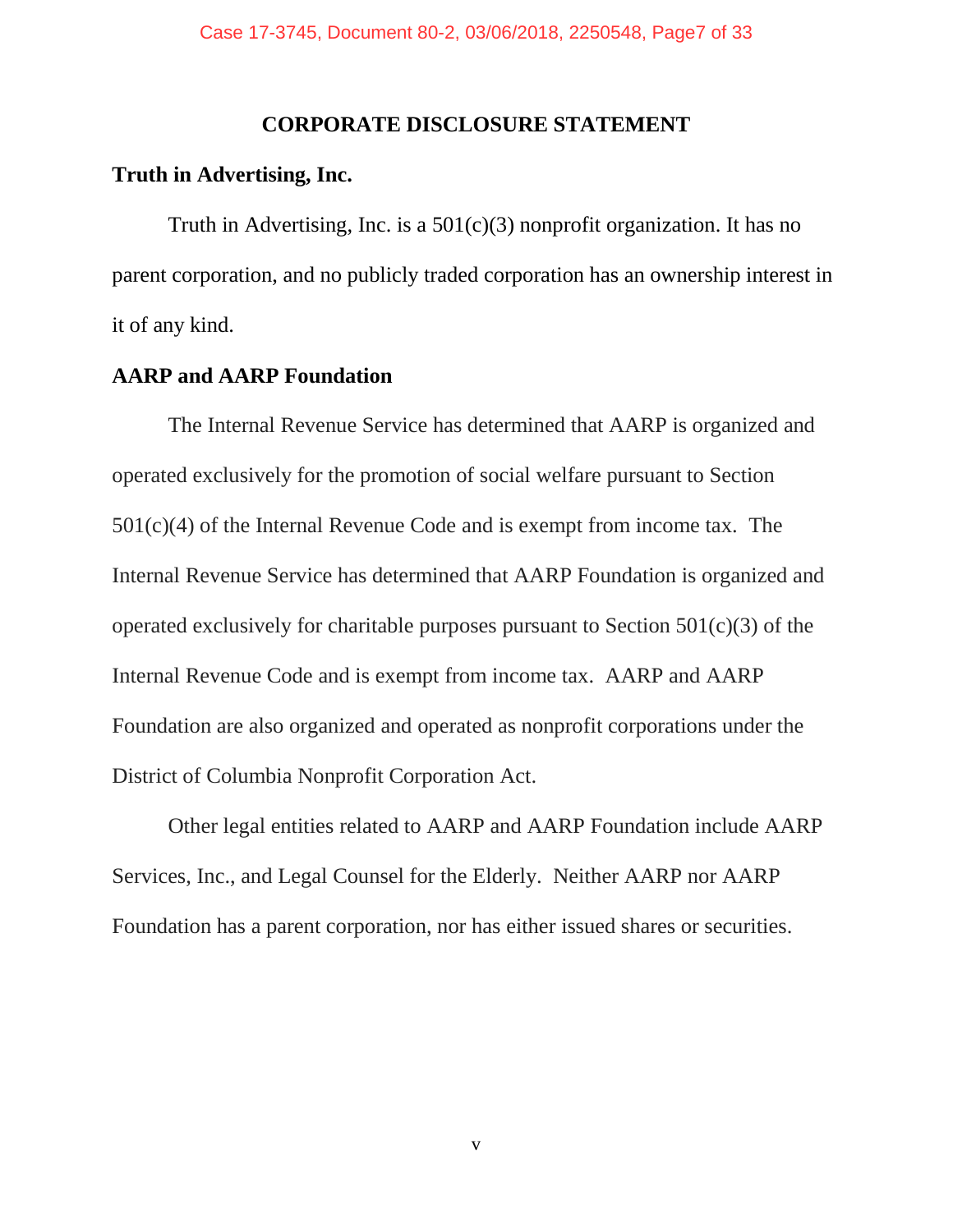#### **CORPORATE DISCLOSURE STATEMENT**

#### **Truth in Advertising, Inc.**

Truth in Advertising, Inc. is a  $501(c)(3)$  nonprofit organization. It has no parent corporation, and no publicly traded corporation has an ownership interest in it of any kind.

#### **AARP and AARP Foundation**

The Internal Revenue Service has determined that AARP is organized and operated exclusively for the promotion of social welfare pursuant to Section 501(c)(4) of the Internal Revenue Code and is exempt from income tax. The Internal Revenue Service has determined that AARP Foundation is organized and operated exclusively for charitable purposes pursuant to Section 501(c)(3) of the Internal Revenue Code and is exempt from income tax. AARP and AARP Foundation are also organized and operated as nonprofit corporations under the District of Columbia Nonprofit Corporation Act.

Other legal entities related to AARP and AARP Foundation include AARP Services, Inc., and Legal Counsel for the Elderly. Neither AARP nor AARP Foundation has a parent corporation, nor has either issued shares or securities.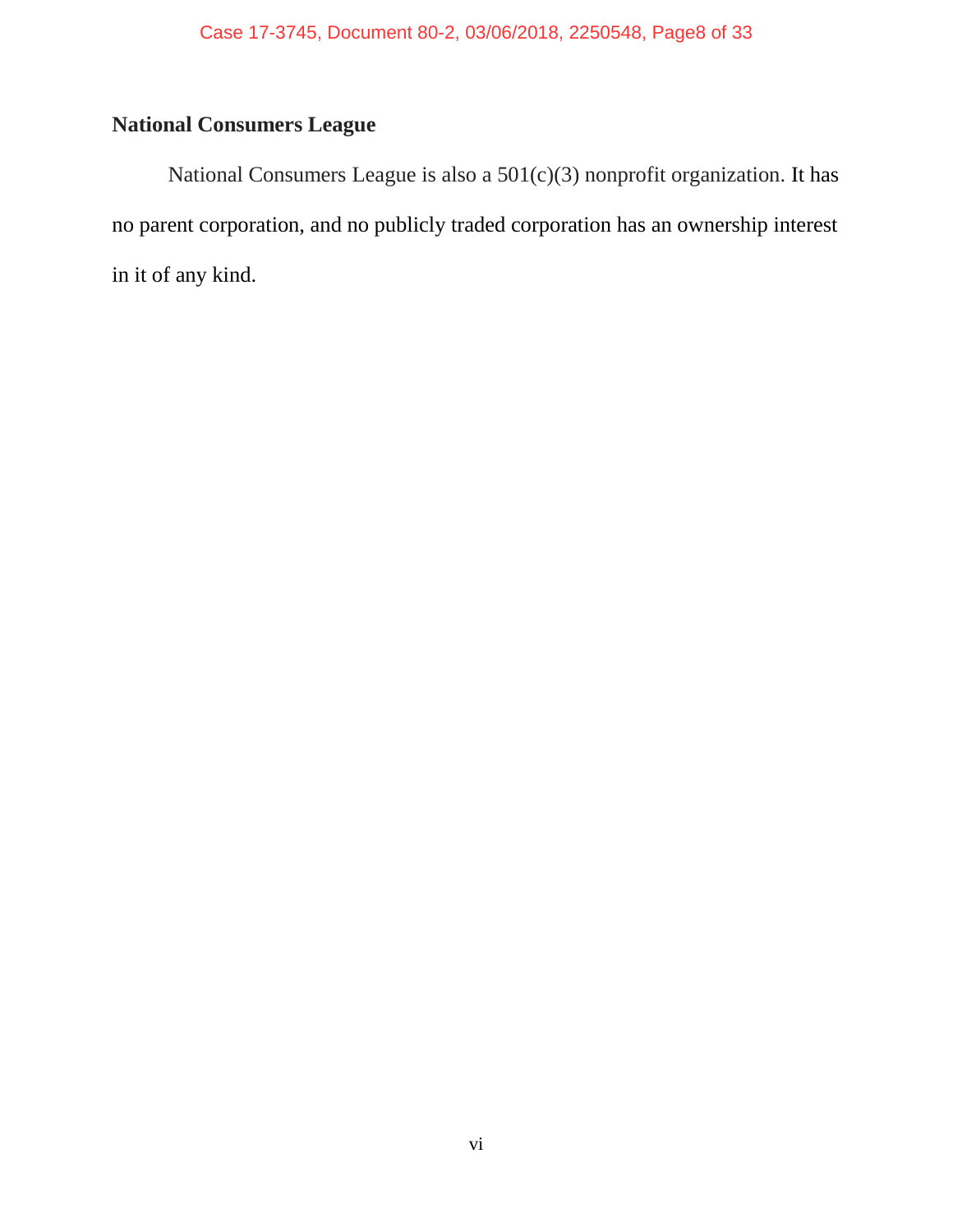## **National Consumers League**

National Consumers League is also a 501(c)(3) nonprofit organization. It has no parent corporation, and no publicly traded corporation has an ownership interest in it of any kind.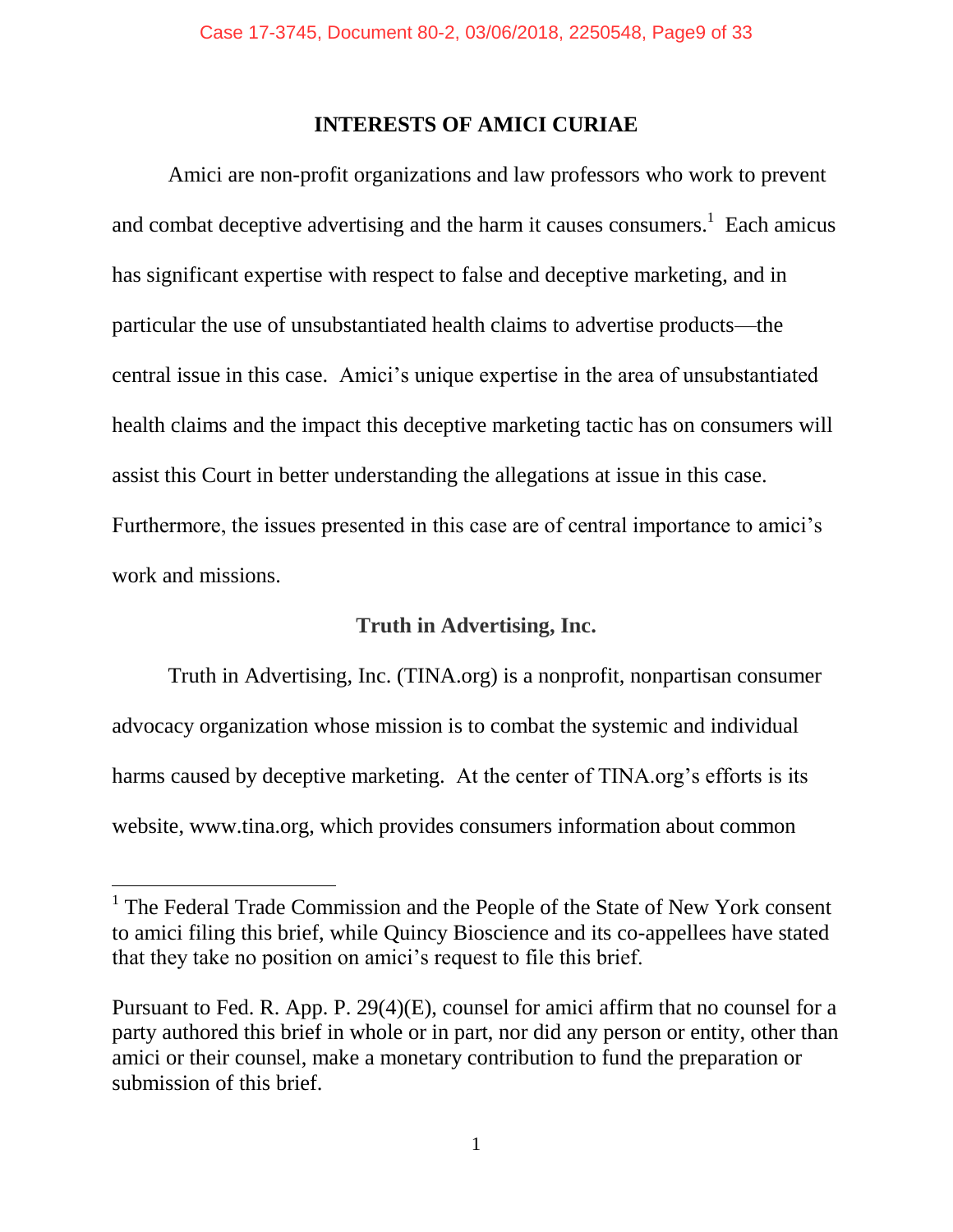#### **INTERESTS OF AMICI CURIAE**

Amici are non-profit organizations and law professors who work to prevent and combat deceptive advertising and the harm it causes consumers.<sup>1</sup> Each amicus has significant expertise with respect to false and deceptive marketing, and in particular the use of unsubstantiated health claims to advertise products—the central issue in this case. Amici's unique expertise in the area of unsubstantiated health claims and the impact this deceptive marketing tactic has on consumers will assist this Court in better understanding the allegations at issue in this case. Furthermore, the issues presented in this case are of central importance to amici's work and missions.

### **Truth in Advertising, Inc.**

Truth in Advertising, Inc. (TINA.org) is a nonprofit, nonpartisan consumer advocacy organization whose mission is to combat the systemic and individual harms caused by deceptive marketing. At the center of TINA.org's efforts is its website, www.tina.org, which provides consumers information about common

<sup>&</sup>lt;sup>1</sup> The Federal Trade Commission and the People of the State of New York consent to amici filing this brief, while Quincy Bioscience and its co-appellees have stated that they take no position on amici's request to file this brief.

Pursuant to Fed. R. App. P. 29(4)(E), counsel for amici affirm that no counsel for a party authored this brief in whole or in part, nor did any person or entity, other than amici or their counsel, make a monetary contribution to fund the preparation or submission of this brief.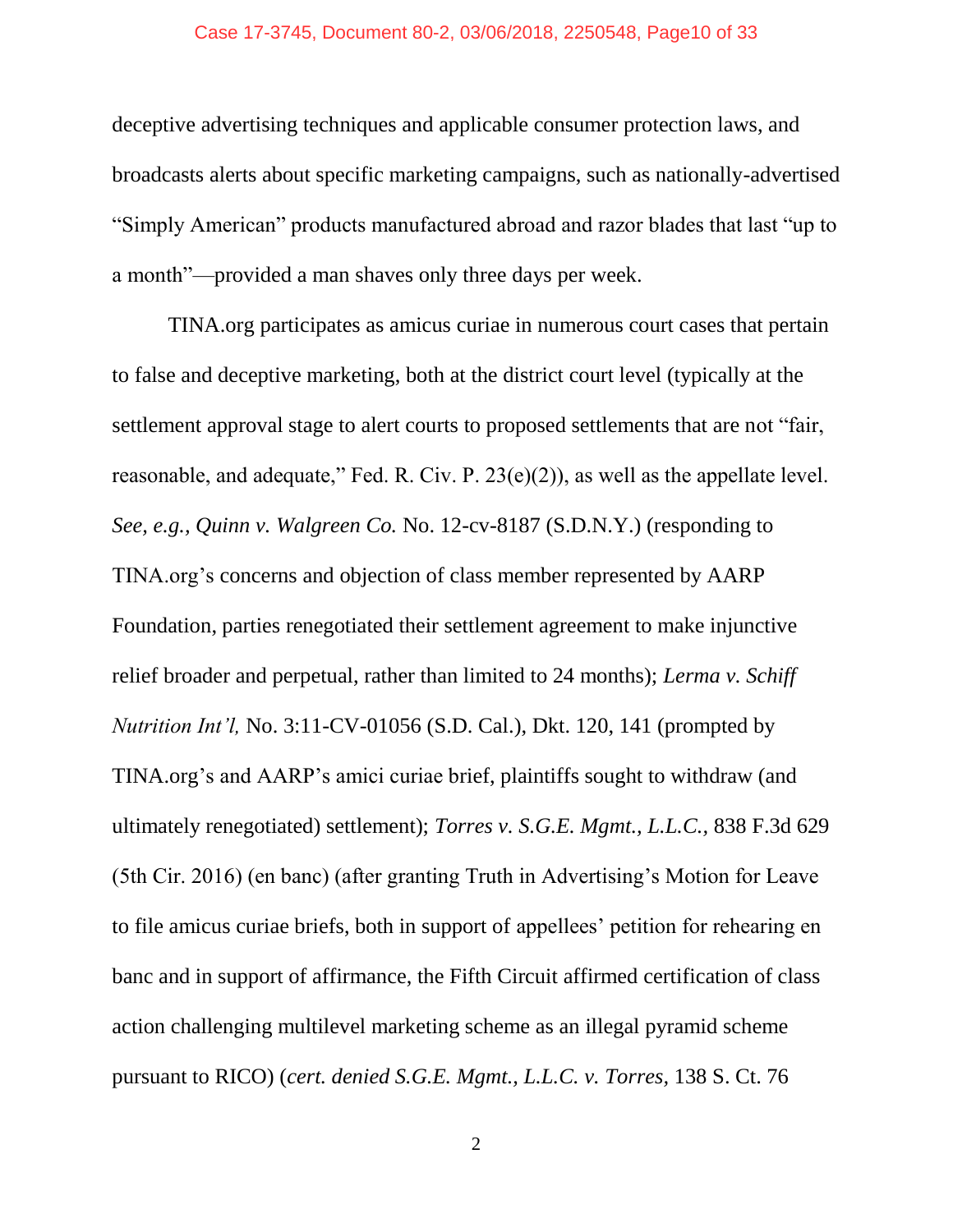#### Case 17-3745, Document 80-2, 03/06/2018, 2250548, Page10 of 33

deceptive advertising techniques and applicable consumer protection laws, and broadcasts alerts about specific marketing campaigns, such as nationally-advertised "Simply American" products manufactured abroad and razor blades that last "up to a month"—provided a man shaves only three days per week.

TINA.org participates as amicus curiae in numerous court cases that pertain to false and deceptive marketing, both at the district court level (typically at the settlement approval stage to alert courts to proposed settlements that are not "fair, reasonable, and adequate," Fed. R. Civ. P. 23(e)(2)), as well as the appellate level. *See, e.g., Quinn v. Walgreen Co.* No. 12-cv-8187 (S.D.N.Y.) (responding to TINA.org's concerns and objection of class member represented by AARP Foundation, parties renegotiated their settlement agreement to make injunctive relief broader and perpetual, rather than limited to 24 months); *Lerma v. Schiff Nutrition Int'l,* No. 3:11-CV-01056 (S.D. Cal.), Dkt. 120, 141 (prompted by TINA.org's and AARP's amici curiae brief, plaintiffs sought to withdraw (and ultimately renegotiated) settlement); *Torres v. S.G.E. Mgmt., L.L.C.,* 838 F.3d 629 (5th Cir. 2016) (en banc) (after granting Truth in Advertising's Motion for Leave to file amicus curiae briefs, both in support of appellees' petition for rehearing en banc and in support of affirmance, the Fifth Circuit affirmed certification of class action challenging multilevel marketing scheme as an illegal pyramid scheme pursuant to RICO) (*cert. denied S.G.E. Mgmt., L.L.C. v. Torres,* 138 S. Ct. 76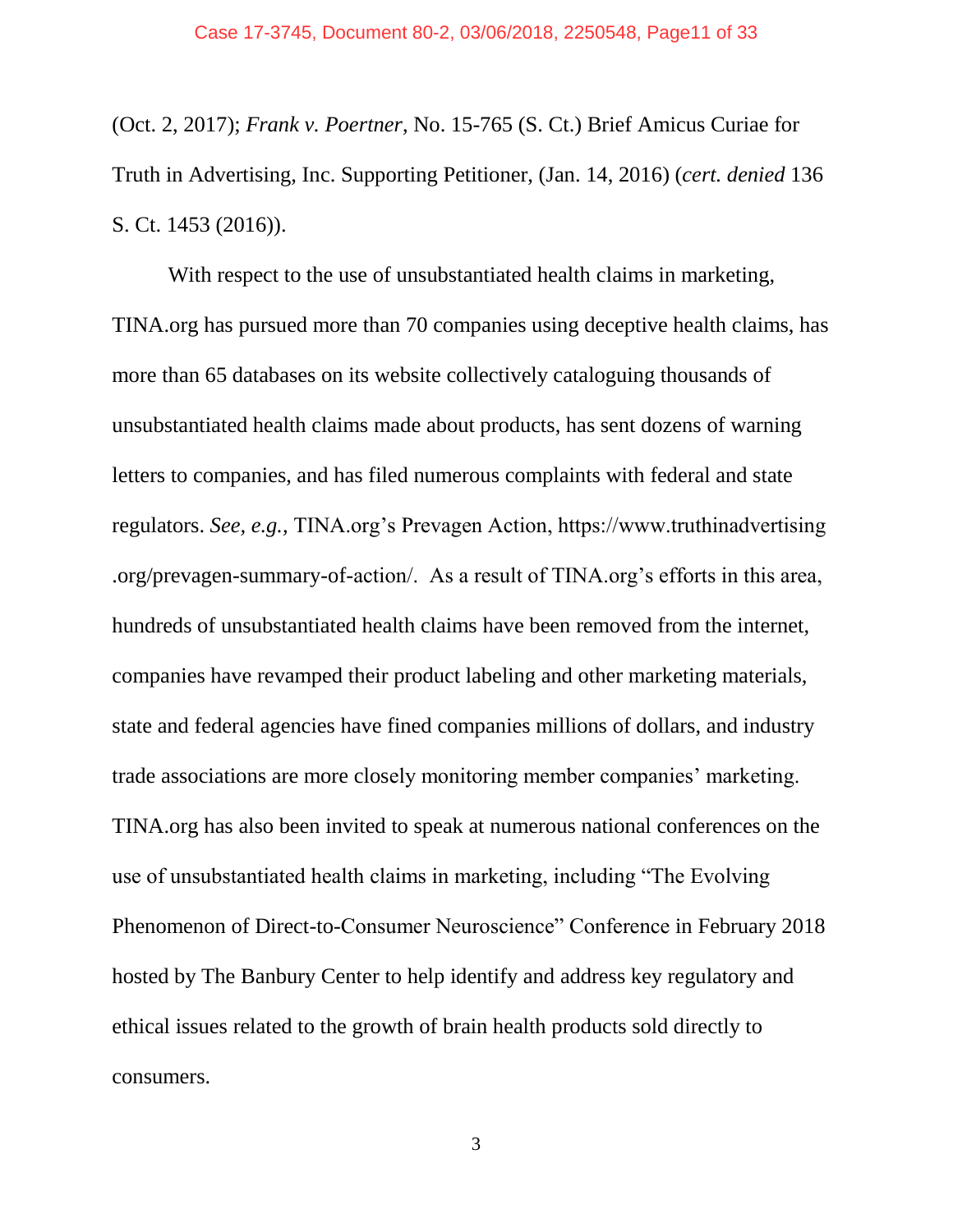(Oct. 2, 2017); *Frank v. Poertner*, No. 15-765 (S. Ct.) Brief Amicus Curiae for Truth in Advertising, Inc. Supporting Petitioner, (Jan. 14, 2016) (*cert. denied* 136 S. Ct. 1453 (2016)).

With respect to the use of unsubstantiated health claims in marketing, TINA.org has pursued more than 70 companies using deceptive health claims, has more than 65 databases on its website collectively cataloguing thousands of unsubstantiated health claims made about products, has sent dozens of warning letters to companies, and has filed numerous complaints with federal and state regulators. *See, e.g.,* TINA.org's Prevagen Action, https://www.truthinadvertising .org/prevagen-summary-of-action/. As a result of TINA.org's efforts in this area, hundreds of unsubstantiated health claims have been removed from the internet, companies have revamped their product labeling and other marketing materials, state and federal agencies have fined companies millions of dollars, and industry trade associations are more closely monitoring member companies' marketing. TINA.org has also been invited to speak at numerous national conferences on the use of unsubstantiated health claims in marketing, including "The Evolving Phenomenon of Direct-to-Consumer Neuroscience" Conference in February 2018 hosted by The Banbury Center to help identify and address key regulatory and ethical issues related to the growth of brain health products sold directly to consumers.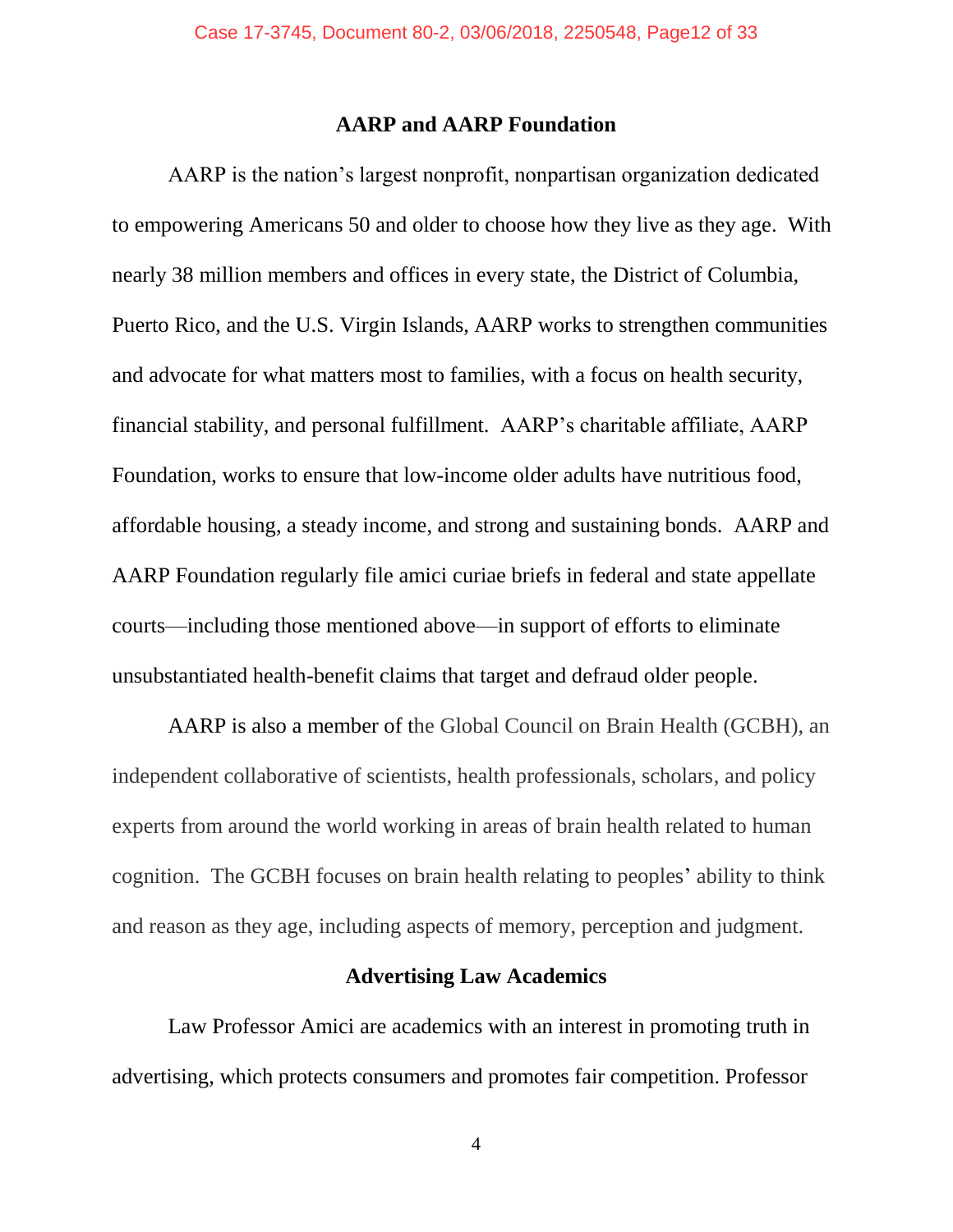#### **AARP and AARP Foundation**

AARP is the nation's largest nonprofit, nonpartisan organization dedicated to empowering Americans 50 and older to choose how they live as they age. With nearly 38 million members and offices in every state, the District of Columbia, Puerto Rico, and the U.S. Virgin Islands, AARP works to strengthen communities and advocate for what matters most to families, with a focus on health security, financial stability, and personal fulfillment. AARP's charitable affiliate, AARP Foundation, works to ensure that low-income older adults have nutritious food, affordable housing, a steady income, and strong and sustaining bonds. AARP and AARP Foundation regularly file amici curiae briefs in federal and state appellate courts—including those mentioned above—in support of efforts to eliminate unsubstantiated health-benefit claims that target and defraud older people.

AARP is also a member of the Global Council on Brain Health (GCBH), an independent collaborative of scientists, health professionals, scholars, and policy experts from around the world working in areas of brain health related to human cognition. The GCBH focuses on brain health relating to peoples' ability to think and reason as they age, including aspects of memory, perception and judgment.

#### **Advertising Law Academics**

Law Professor Amici are academics with an interest in promoting truth in advertising, which protects consumers and promotes fair competition. Professor

4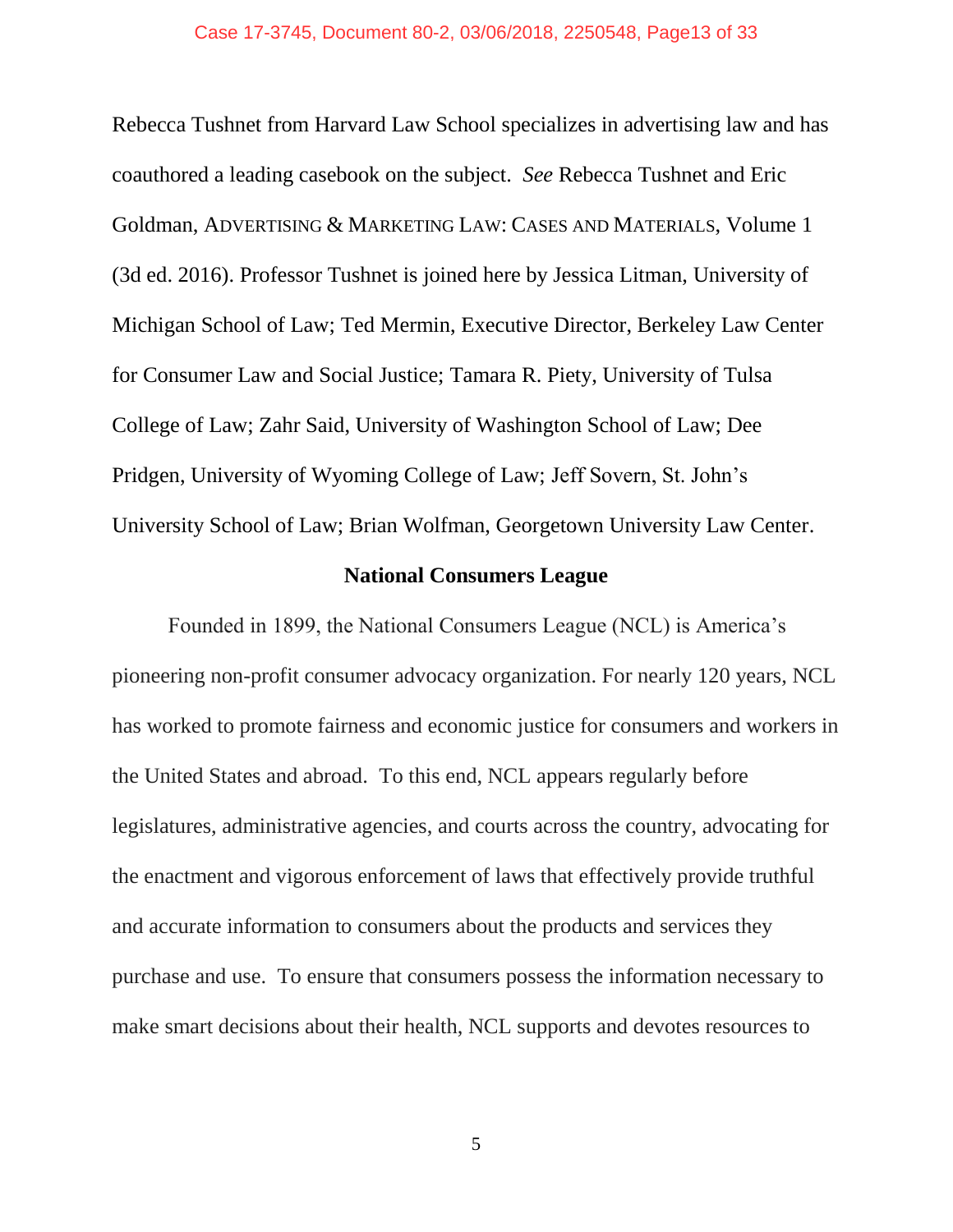Rebecca Tushnet from Harvard Law School specializes in advertising law and has coauthored a leading casebook on the subject. *See* Rebecca Tushnet and Eric Goldman, ADVERTISING & MARKETING LAW: CASES AND MATERIALS, Volume 1 (3d ed. 2016). Professor Tushnet is joined here by Jessica Litman, University of Michigan School of Law; Ted Mermin, Executive Director, Berkeley Law Center for Consumer Law and Social Justice; Tamara R. Piety, University of Tulsa College of Law; Zahr Said, University of Washington School of Law; Dee Pridgen, University of Wyoming College of Law; Jeff Sovern, St. John's University School of Law; Brian Wolfman, Georgetown University Law Center.

#### **National Consumers League**

Founded in 1899, the National Consumers League (NCL) is America's pioneering non-profit consumer advocacy organization. For nearly 120 years, NCL has worked to promote fairness and economic justice for consumers and workers in the United States and abroad. To this end, NCL appears regularly before legislatures, administrative agencies, and courts across the country, advocating for the enactment and vigorous enforcement of laws that effectively provide truthful and accurate information to consumers about the products and services they purchase and use. To ensure that consumers possess the information necessary to make smart decisions about their health, NCL supports and devotes resources to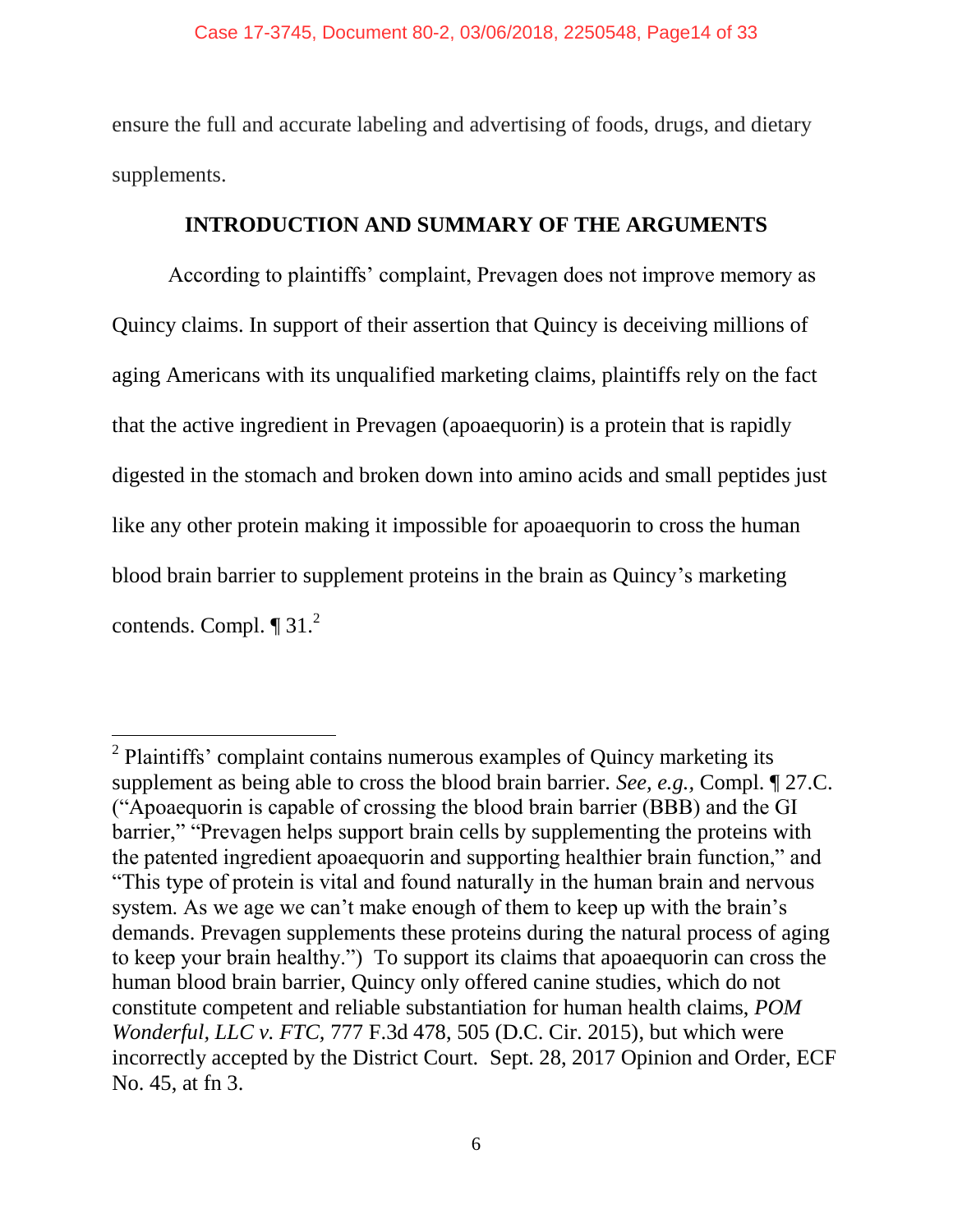ensure the full and accurate labeling and advertising of foods, drugs, and dietary supplements.

### **INTRODUCTION AND SUMMARY OF THE ARGUMENTS**

According to plaintiffs' complaint, Prevagen does not improve memory as Quincy claims. In support of their assertion that Quincy is deceiving millions of aging Americans with its unqualified marketing claims, plaintiffs rely on the fact that the active ingredient in Prevagen (apoaequorin) is a protein that is rapidly digested in the stomach and broken down into amino acids and small peptides just like any other protein making it impossible for apoaequorin to cross the human blood brain barrier to supplement proteins in the brain as Quincy's marketing contends. Compl.  $\P$  31.<sup>2</sup>

 $2$  Plaintiffs' complaint contains numerous examples of Quincy marketing its supplement as being able to cross the blood brain barrier. *See, e.g.,* Compl. ¶ 27.C. ("Apoaequorin is capable of crossing the blood brain barrier (BBB) and the GI barrier," "Prevagen helps support brain cells by supplementing the proteins with the patented ingredient apoaequorin and supporting healthier brain function," and "This type of protein is vital and found naturally in the human brain and nervous system. As we age we can't make enough of them to keep up with the brain's demands. Prevagen supplements these proteins during the natural process of aging to keep your brain healthy.") To support its claims that apoaequorin can cross the human blood brain barrier, Quincy only offered canine studies, which do not constitute competent and reliable substantiation for human health claims, *POM Wonderful, LLC v. FTC,* 777 F.3d 478, 505 (D.C. Cir. 2015), but which were incorrectly accepted by the District Court. Sept. 28, 2017 Opinion and Order, ECF No. 45, at fn 3.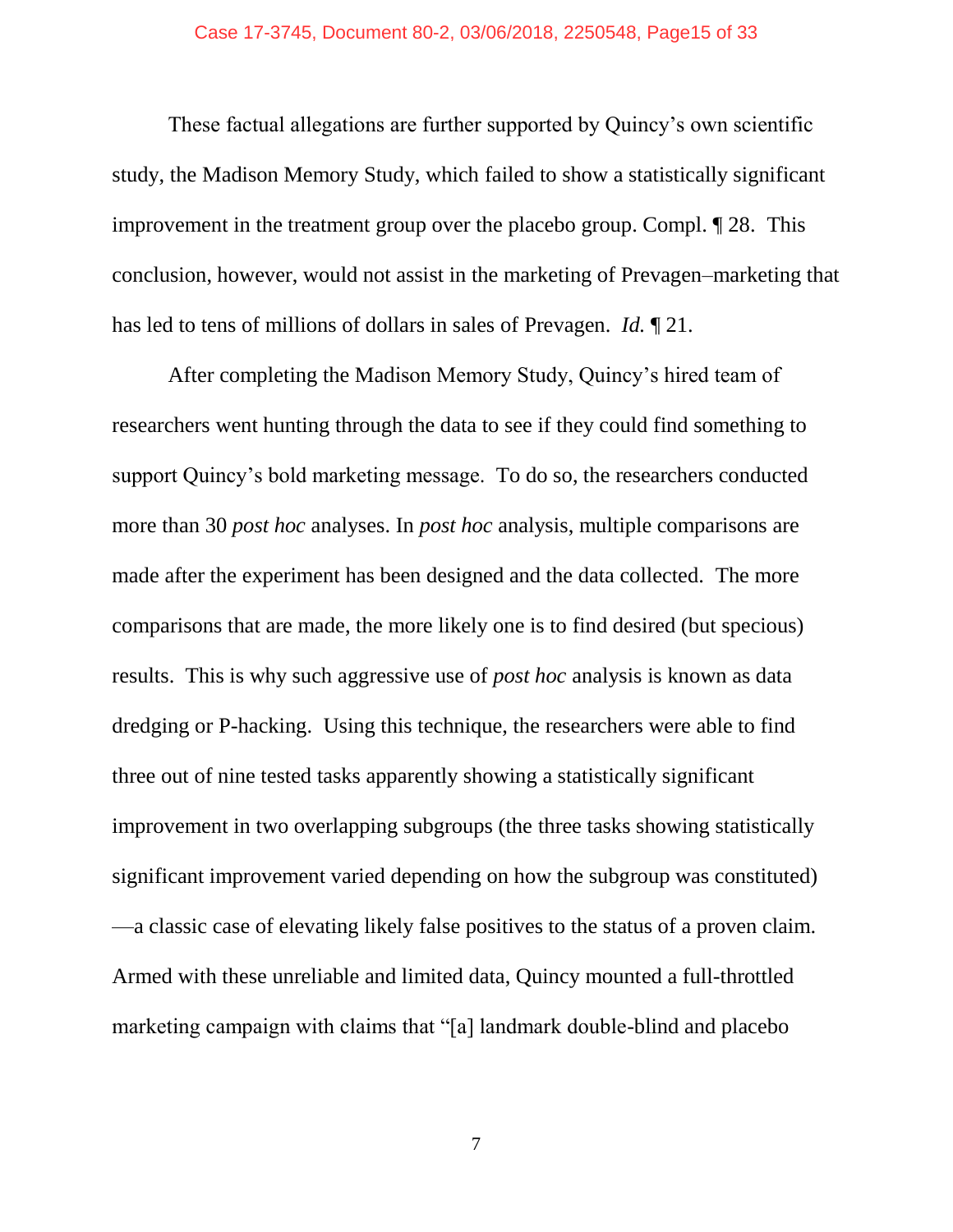These factual allegations are further supported by Quincy's own scientific study, the Madison Memory Study, which failed to show a statistically significant improvement in the treatment group over the placebo group. Compl. ¶ 28. This conclusion, however, would not assist in the marketing of Prevagen–marketing that has led to tens of millions of dollars in sales of Prevagen. *Id.* ¶ 21.

After completing the Madison Memory Study, Quincy's hired team of researchers went hunting through the data to see if they could find something to support Quincy's bold marketing message. To do so, the researchers conducted more than 30 *post hoc* analyses. In *post hoc* analysis, multiple comparisons are made after the experiment has been designed and the data collected. The more comparisons that are made, the more likely one is to find desired (but specious) results. This is why such aggressive use of *post hoc* analysis is known as data dredging or P-hacking. Using this technique, the researchers were able to find three out of nine tested tasks apparently showing a statistically significant improvement in two overlapping subgroups (the three tasks showing statistically significant improvement varied depending on how the subgroup was constituted) —a classic case of elevating likely false positives to the status of a proven claim. Armed with these unreliable and limited data, Quincy mounted a full-throttled marketing campaign with claims that "[a] landmark double-blind and placebo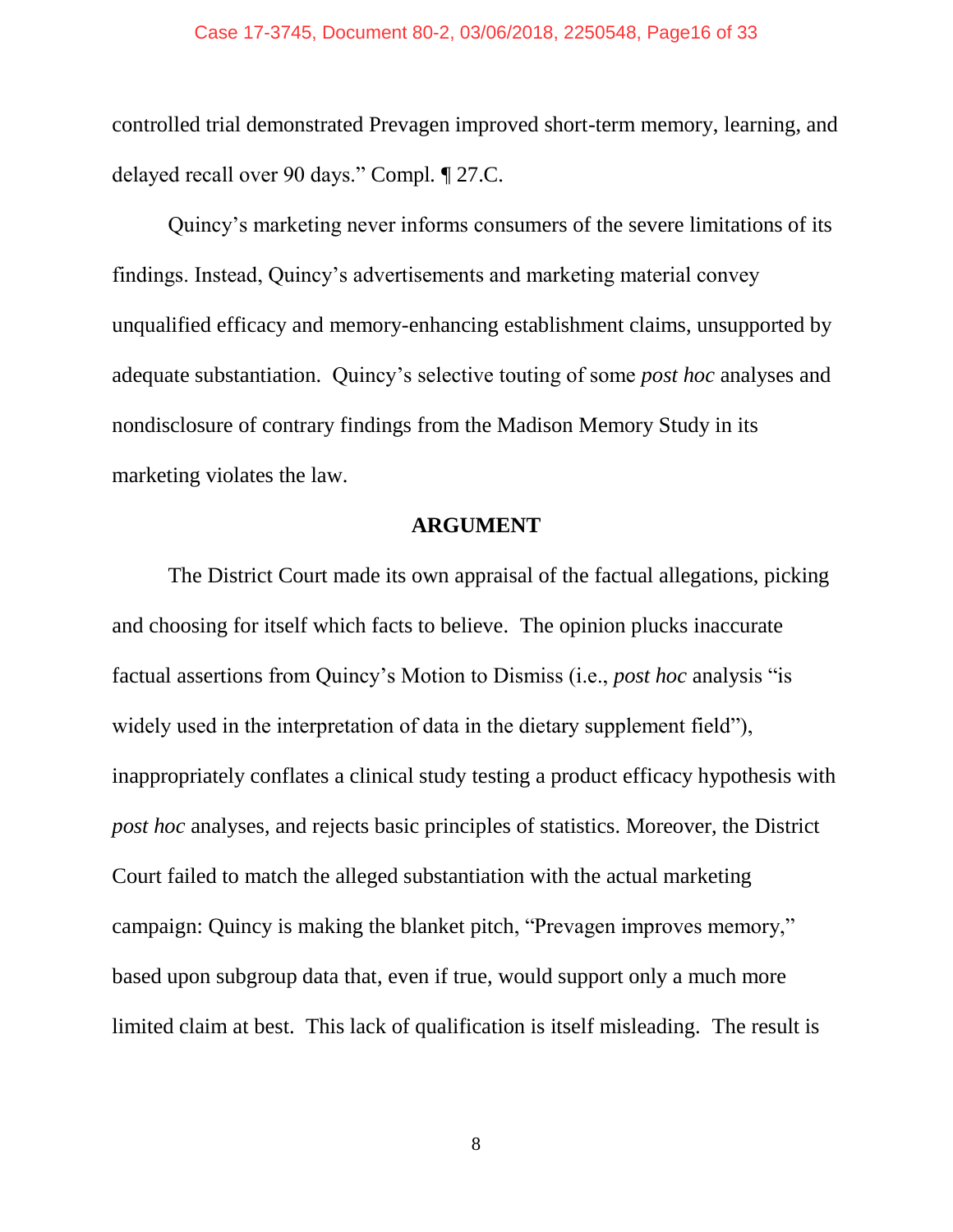controlled trial demonstrated Prevagen improved short-term memory, learning, and delayed recall over 90 days." Compl*.* ¶ 27.C.

Quincy's marketing never informs consumers of the severe limitations of its findings. Instead, Quincy's advertisements and marketing material convey unqualified efficacy and memory-enhancing establishment claims, unsupported by adequate substantiation. Quincy's selective touting of some *post hoc* analyses and nondisclosure of contrary findings from the Madison Memory Study in its marketing violates the law.

#### **ARGUMENT**

The District Court made its own appraisal of the factual allegations, picking and choosing for itself which facts to believe. The opinion plucks inaccurate factual assertions from Quincy's Motion to Dismiss (i.e., *post hoc* analysis "is widely used in the interpretation of data in the dietary supplement field"), inappropriately conflates a clinical study testing a product efficacy hypothesis with *post hoc* analyses, and rejects basic principles of statistics. Moreover, the District Court failed to match the alleged substantiation with the actual marketing campaign: Quincy is making the blanket pitch, "Prevagen improves memory," based upon subgroup data that, even if true, would support only a much more limited claim at best. This lack of qualification is itself misleading. The result is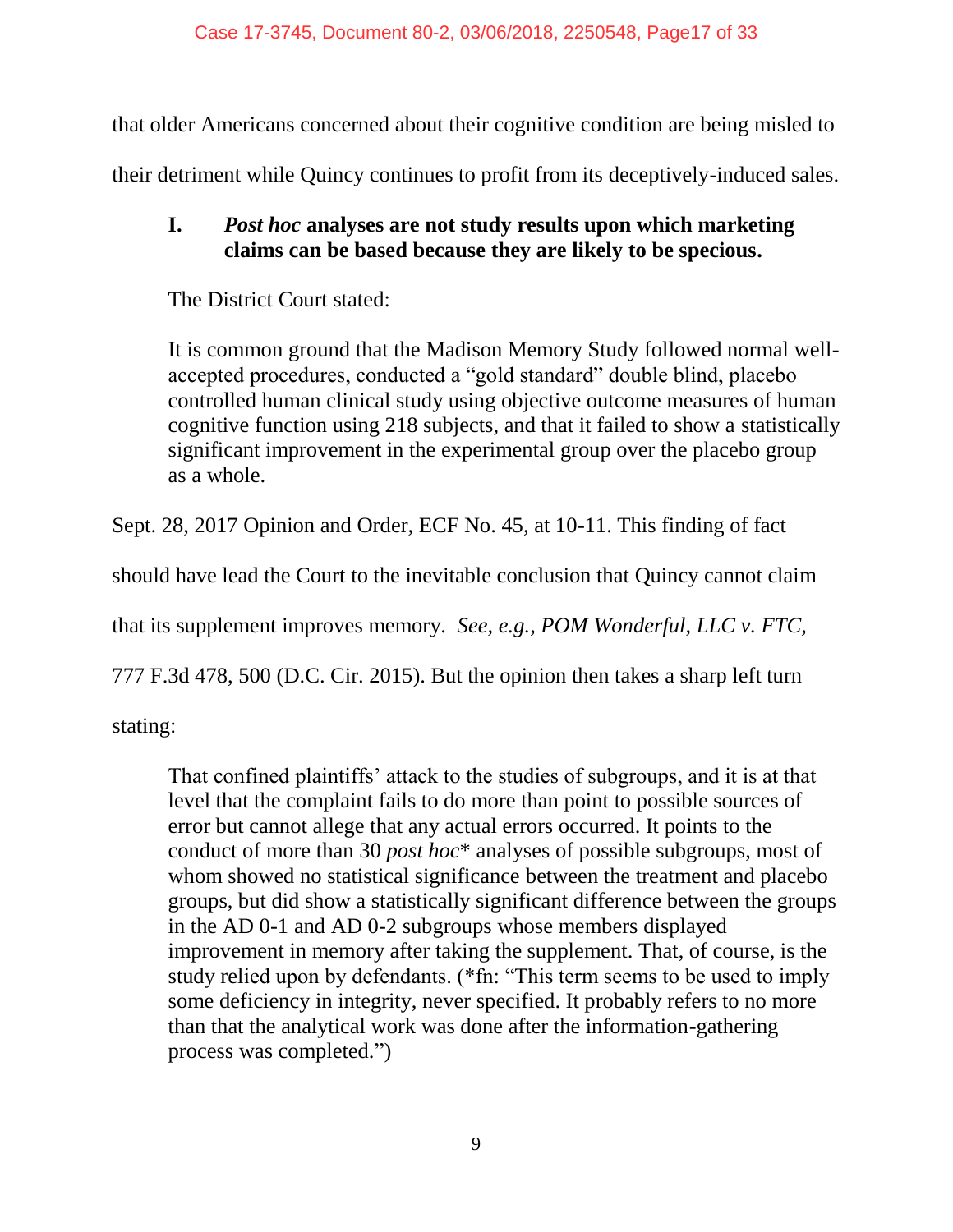that older Americans concerned about their cognitive condition are being misled to

their detriment while Quincy continues to profit from its deceptively-induced sales.

## **I.** *Post hoc* **analyses are not study results upon which marketing claims can be based because they are likely to be specious.**

The District Court stated:

It is common ground that the Madison Memory Study followed normal wellaccepted procedures, conducted a "gold standard" double blind, placebo controlled human clinical study using objective outcome measures of human cognitive function using 218 subjects, and that it failed to show a statistically significant improvement in the experimental group over the placebo group as a whole.

Sept. 28, 2017 Opinion and Order, ECF No. 45, at 10-11. This finding of fact

should have lead the Court to the inevitable conclusion that Quincy cannot claim

that its supplement improves memory. *See, e.g., POM Wonderful, LLC v. FTC,* 

777 F.3d 478, 500 (D.C. Cir. 2015). But the opinion then takes a sharp left turn

stating:

That confined plaintiffs' attack to the studies of subgroups, and it is at that level that the complaint fails to do more than point to possible sources of error but cannot allege that any actual errors occurred. It points to the conduct of more than 30 *post hoc*\* analyses of possible subgroups, most of whom showed no statistical significance between the treatment and placebo groups, but did show a statistically significant difference between the groups in the AD 0-1 and AD 0-2 subgroups whose members displayed improvement in memory after taking the supplement. That, of course, is the study relied upon by defendants. (\*fn: "This term seems to be used to imply some deficiency in integrity, never specified. It probably refers to no more than that the analytical work was done after the information-gathering process was completed.")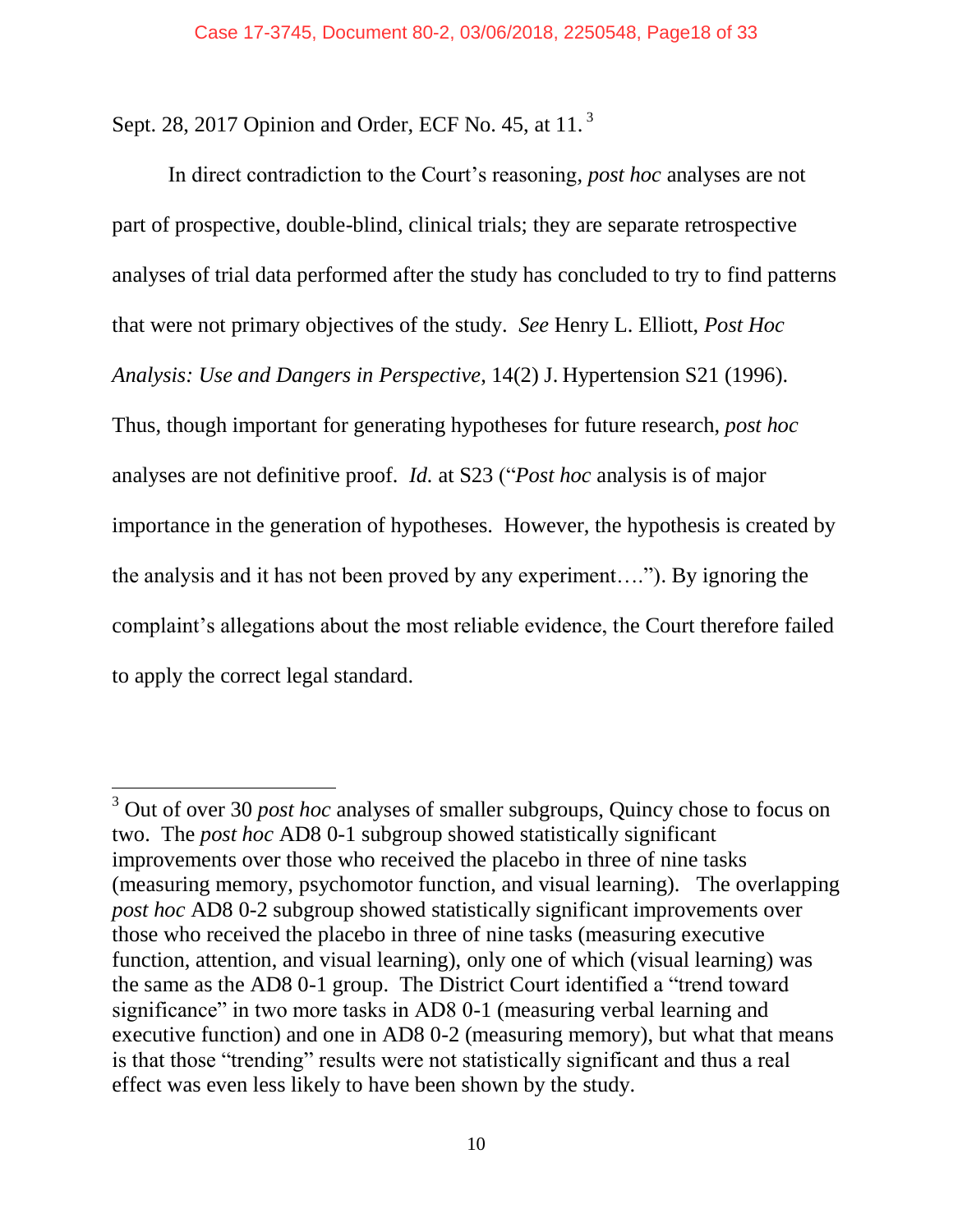Sept. 28, 2017 Opinion and Order, ECF No. 45, at 11.<sup>3</sup>

 $\overline{a}$ 

In direct contradiction to the Court's reasoning, *post hoc* analyses are not part of prospective, double-blind, clinical trials; they are separate retrospective analyses of trial data performed after the study has concluded to try to find patterns that were not primary objectives of the study. *See* Henry L. Elliott, *Post Hoc Analysis: Use and Dangers in Perspective*, 14(2) J. Hypertension S21 (1996). Thus, though important for generating hypotheses for future research, *post hoc*  analyses are not definitive proof. *Id.* at S23 ("*Post hoc* analysis is of major importance in the generation of hypotheses. However, the hypothesis is created by the analysis and it has not been proved by any experiment…."). By ignoring the complaint's allegations about the most reliable evidence, the Court therefore failed to apply the correct legal standard.

<sup>3</sup> Out of over 30 *post hoc* analyses of smaller subgroups, Quincy chose to focus on two. The *post hoc* AD8 0-1 subgroup showed statistically significant improvements over those who received the placebo in three of nine tasks (measuring memory, psychomotor function, and visual learning). The overlapping *post hoc* AD8 0-2 subgroup showed statistically significant improvements over those who received the placebo in three of nine tasks (measuring executive function, attention, and visual learning), only one of which (visual learning) was the same as the AD8 0-1 group. The District Court identified a "trend toward significance" in two more tasks in AD8 0-1 (measuring verbal learning and executive function) and one in AD8 0-2 (measuring memory), but what that means is that those "trending" results were not statistically significant and thus a real effect was even less likely to have been shown by the study.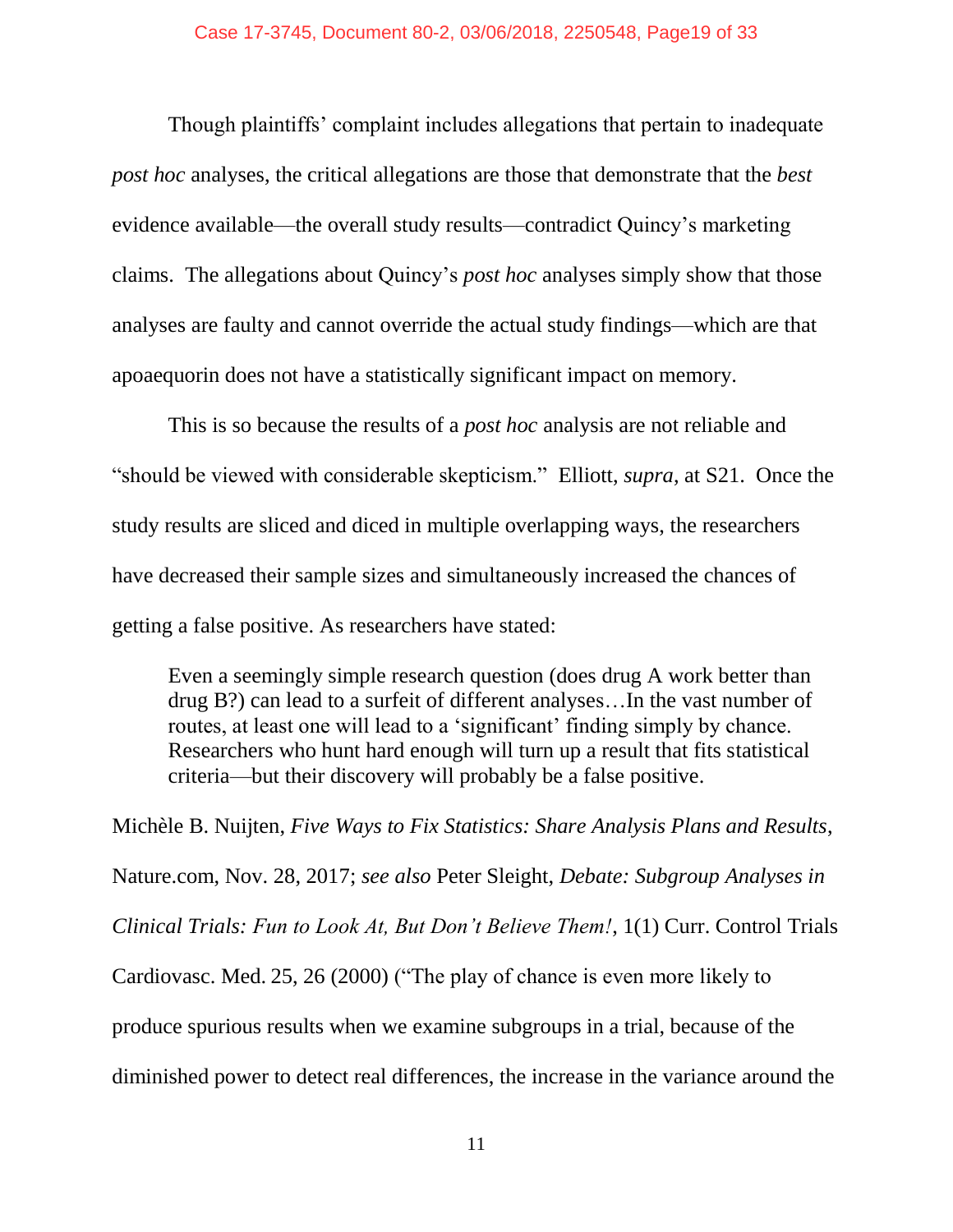Though plaintiffs' complaint includes allegations that pertain to inadequate *post hoc* analyses, the critical allegations are those that demonstrate that the *best* evidence available—the overall study results—contradict Quincy's marketing claims. The allegations about Quincy's *post hoc* analyses simply show that those analyses are faulty and cannot override the actual study findings—which are that apoaequorin does not have a statistically significant impact on memory.

This is so because the results of a *post hoc* analysis are not reliable and "should be viewed with considerable skepticism." Elliott, *supra*, at S21. Once the study results are sliced and diced in multiple overlapping ways, the researchers have decreased their sample sizes and simultaneously increased the chances of getting a false positive. As researchers have stated:

Even a seemingly simple research question (does drug A work better than drug B?) can lead to a surfeit of different analyses…In the vast number of routes, at least one will lead to a 'significant' finding simply by chance. Researchers who hunt hard enough will turn up a result that fits statistical criteria—but their discovery will probably be a false positive.

Michèle B. Nuijten, *Five Ways to Fix Statistics: Share Analysis Plans and Results*, Nature.com, Nov. 28, 2017; *see also* Peter Sleight, *Debate: Subgroup Analyses in Clinical Trials: Fun to Look At, But Don't Believe Them!*, 1(1) Curr. Control Trials Cardiovasc. Med. 25, 26 (2000) ("The play of chance is even more likely to produce spurious results when we examine subgroups in a trial, because of the diminished power to detect real differences, the increase in the variance around the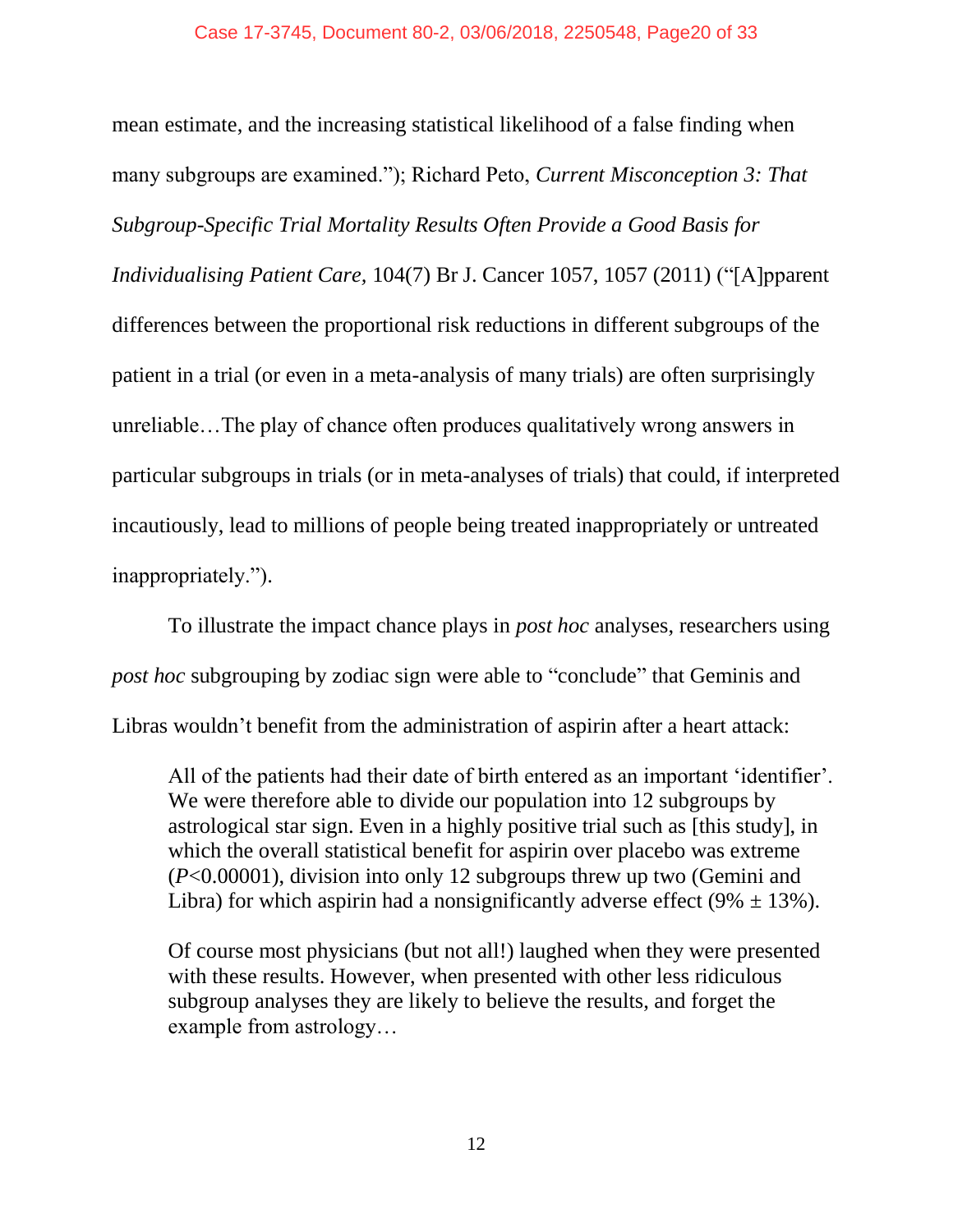mean estimate, and the increasing statistical likelihood of a false finding when many subgroups are examined."); Richard Peto, *Current Misconception 3: That Subgroup-Specific Trial Mortality Results Often Provide a Good Basis for Individualising Patient Care,* 104(7) Br J. Cancer 1057, 1057 (2011) ("[A]pparent differences between the proportional risk reductions in different subgroups of the patient in a trial (or even in a meta-analysis of many trials) are often surprisingly unreliable…The play of chance often produces qualitatively wrong answers in particular subgroups in trials (or in meta-analyses of trials) that could, if interpreted incautiously, lead to millions of people being treated inappropriately or untreated inappropriately.").

To illustrate the impact chance plays in *post hoc* analyses, researchers using *post hoc* subgrouping by zodiac sign were able to "conclude" that Geminis and Libras wouldn't benefit from the administration of aspirin after a heart attack:

All of the patients had their date of birth entered as an important 'identifier'. We were therefore able to divide our population into 12 subgroups by astrological star sign. Even in a highly positive trial such as [this study], in which the overall statistical benefit for aspirin over placebo was extreme (*P*<0.00001), division into only 12 subgroups threw up two (Gemini and Libra) for which aspirin had a nonsignificantly adverse effect (9%  $\pm$  13%).

Of course most physicians (but not all!) laughed when they were presented with these results. However, when presented with other less ridiculous subgroup analyses they are likely to believe the results, and forget the example from astrology…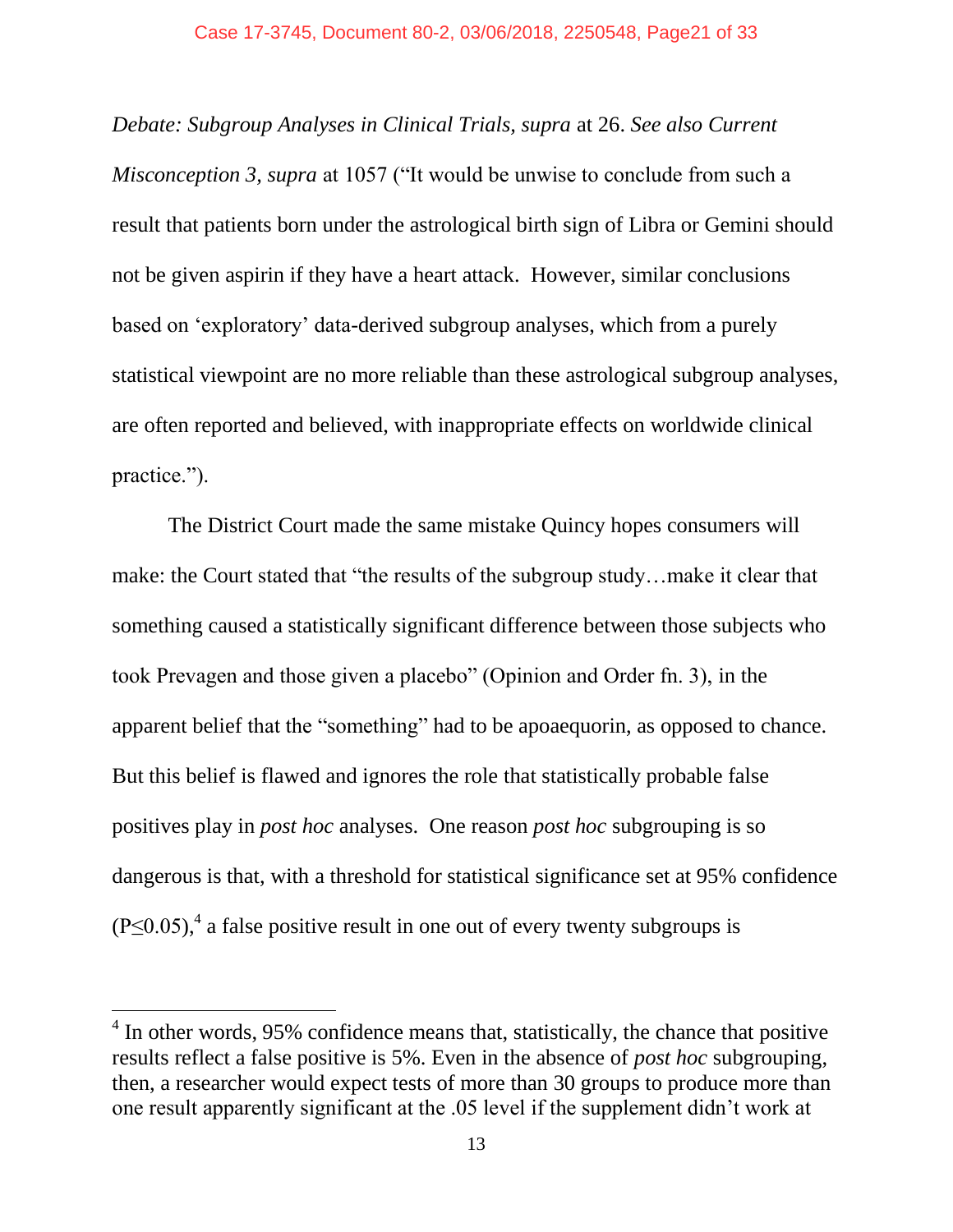*Debate: Subgroup Analyses in Clinical Trials, supra* at 26. *See also Current Misconception 3, supra* at 1057 ("It would be unwise to conclude from such a result that patients born under the astrological birth sign of Libra or Gemini should not be given aspirin if they have a heart attack. However, similar conclusions based on 'exploratory' data-derived subgroup analyses, which from a purely statistical viewpoint are no more reliable than these astrological subgroup analyses, are often reported and believed, with inappropriate effects on worldwide clinical practice.").

The District Court made the same mistake Quincy hopes consumers will make: the Court stated that "the results of the subgroup study…make it clear that something caused a statistically significant difference between those subjects who took Prevagen and those given a placebo" (Opinion and Order fn. 3), in the apparent belief that the "something" had to be apoaequorin, as opposed to chance. But this belief is flawed and ignores the role that statistically probable false positives play in *post hoc* analyses. One reason *post hoc* subgrouping is so dangerous is that, with a threshold for statistical significance set at 95% confidence  $(P \le 0.05)$ ,<sup>4</sup> a false positive result in one out of every twenty subgroups is

<sup>&</sup>lt;sup>4</sup> In other words, 95% confidence means that, statistically, the chance that positive results reflect a false positive is 5%. Even in the absence of *post hoc* subgrouping, then, a researcher would expect tests of more than 30 groups to produce more than one result apparently significant at the .05 level if the supplement didn't work at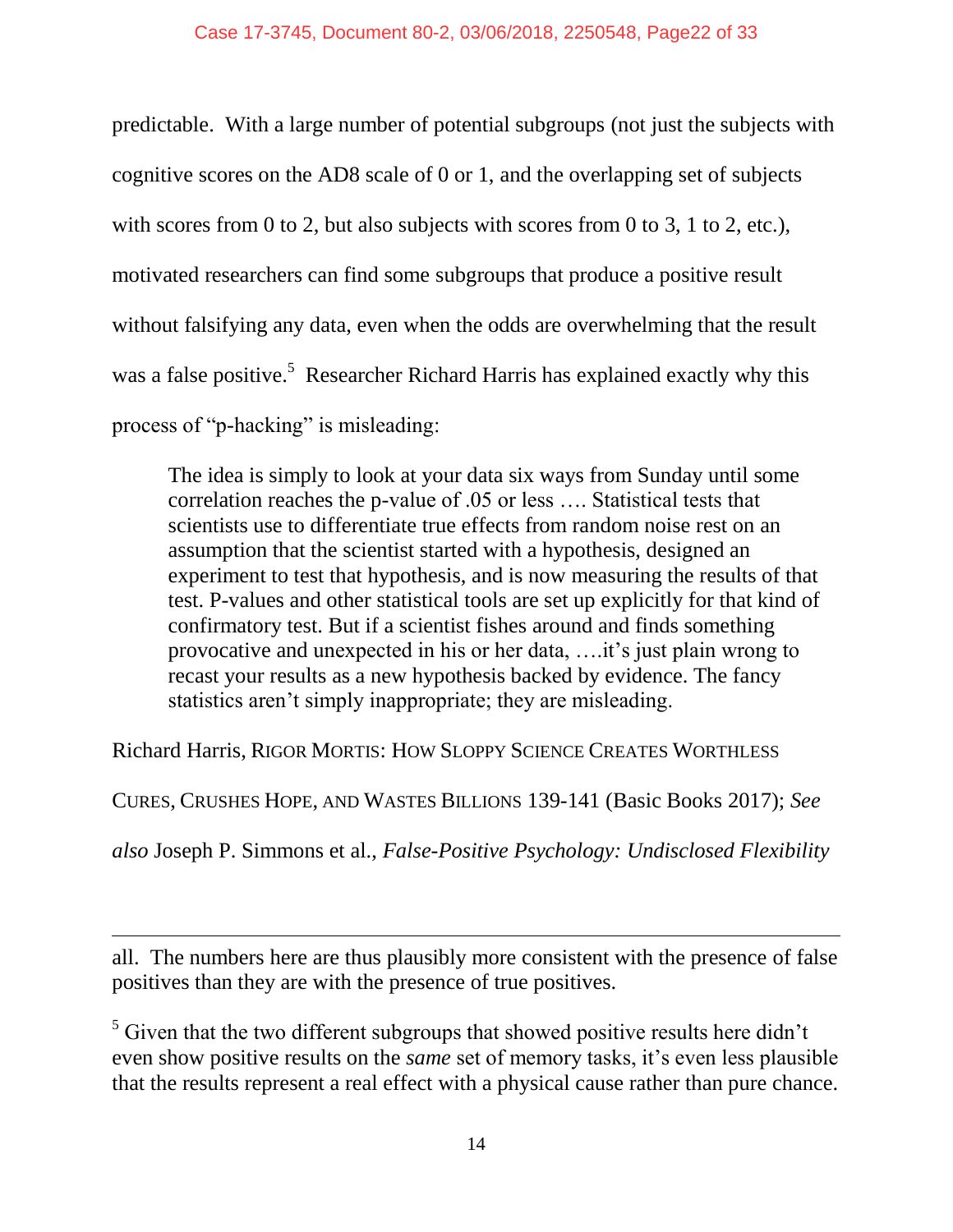predictable. With a large number of potential subgroups (not just the subjects with cognitive scores on the AD8 scale of 0 or 1, and the overlapping set of subjects with scores from 0 to 2, but also subjects with scores from 0 to 3, 1 to 2, etc.), motivated researchers can find some subgroups that produce a positive result without falsifying any data, even when the odds are overwhelming that the result was a false positive.<sup>5</sup> Researcher Richard Harris has explained exactly why this process of "p-hacking" is misleading:

The idea is simply to look at your data six ways from Sunday until some correlation reaches the p-value of .05 or less …. Statistical tests that scientists use to differentiate true effects from random noise rest on an assumption that the scientist started with a hypothesis, designed an experiment to test that hypothesis, and is now measuring the results of that test. P-values and other statistical tools are set up explicitly for that kind of confirmatory test. But if a scientist fishes around and finds something provocative and unexpected in his or her data, ….it's just plain wrong to recast your results as a new hypothesis backed by evidence. The fancy statistics aren't simply inappropriate; they are misleading.

Richard Harris, RIGOR MORTIS: HOW SLOPPY SCIENCE CREATES WORTHLESS

CURES, CRUSHES HOPE, AND WASTES BILLIONS 139-141 (Basic Books 2017); *See* 

*also* Joseph P. Simmons et al., *False-Positive Psychology: Undisclosed Flexibility* 

all. The numbers here are thus plausibly more consistent with the presence of false positives than they are with the presence of true positives.

 $\overline{a}$ 

<sup>5</sup> Given that the two different subgroups that showed positive results here didn't even show positive results on the *same* set of memory tasks, it's even less plausible that the results represent a real effect with a physical cause rather than pure chance.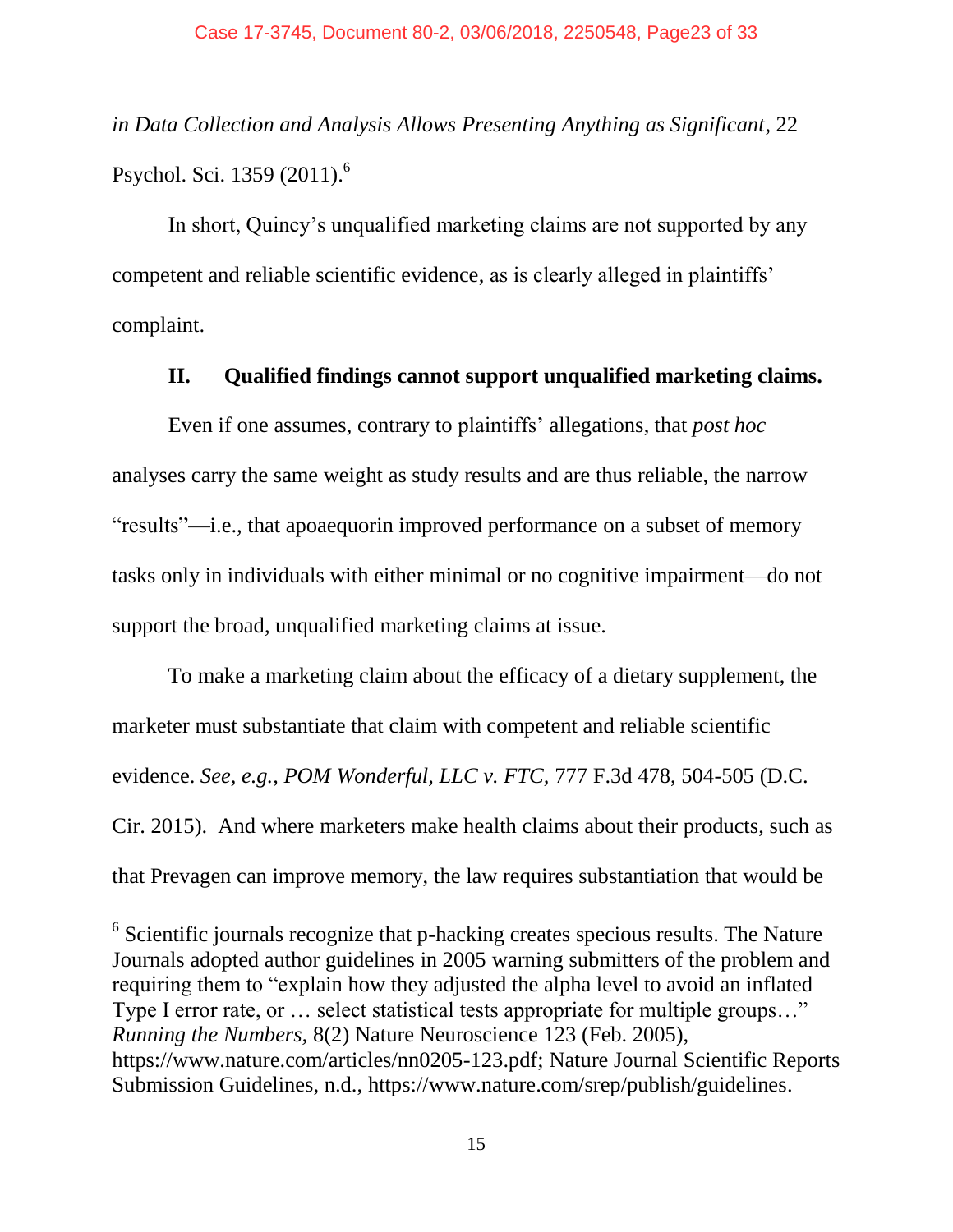*in Data Collection and Analysis Allows Presenting Anything as Significant*, 22 Psychol. Sci. 1359 (2011).<sup>6</sup>

In short, Quincy's unqualified marketing claims are not supported by any competent and reliable scientific evidence, as is clearly alleged in plaintiffs' complaint.

### **II. Qualified findings cannot support unqualified marketing claims.**

Even if one assumes, contrary to plaintiffs' allegations, that *post hoc*  analyses carry the same weight as study results and are thus reliable, the narrow "results"—i.e., that apoaequorin improved performance on a subset of memory tasks only in individuals with either minimal or no cognitive impairment—do not support the broad, unqualified marketing claims at issue.

To make a marketing claim about the efficacy of a dietary supplement, the marketer must substantiate that claim with competent and reliable scientific evidence. *See, e.g., POM Wonderful, LLC v. FTC,* 777 F.3d 478, 504-505 (D.C. Cir. 2015). And where marketers make health claims about their products, such as that Prevagen can improve memory, the law requires substantiation that would be

 $6$  Scientific journals recognize that p-hacking creates specious results. The Nature Journals adopted author guidelines in 2005 warning submitters of the problem and requiring them to "explain how they adjusted the alpha level to avoid an inflated Type I error rate, or … select statistical tests appropriate for multiple groups…" *Running the Numbers,* 8(2) Nature Neuroscience 123 (Feb. 2005), [https://www.nature.com/articles/nn0205-123.pdf;](https://www.nature.com/articles/nn0205-123.pdf) Nature Journal Scientific Reports Submission Guidelines, n.d., [https://www.nature.com/srep/publish/guidelines.](https://www.nature.com/srep/publish/guidelines)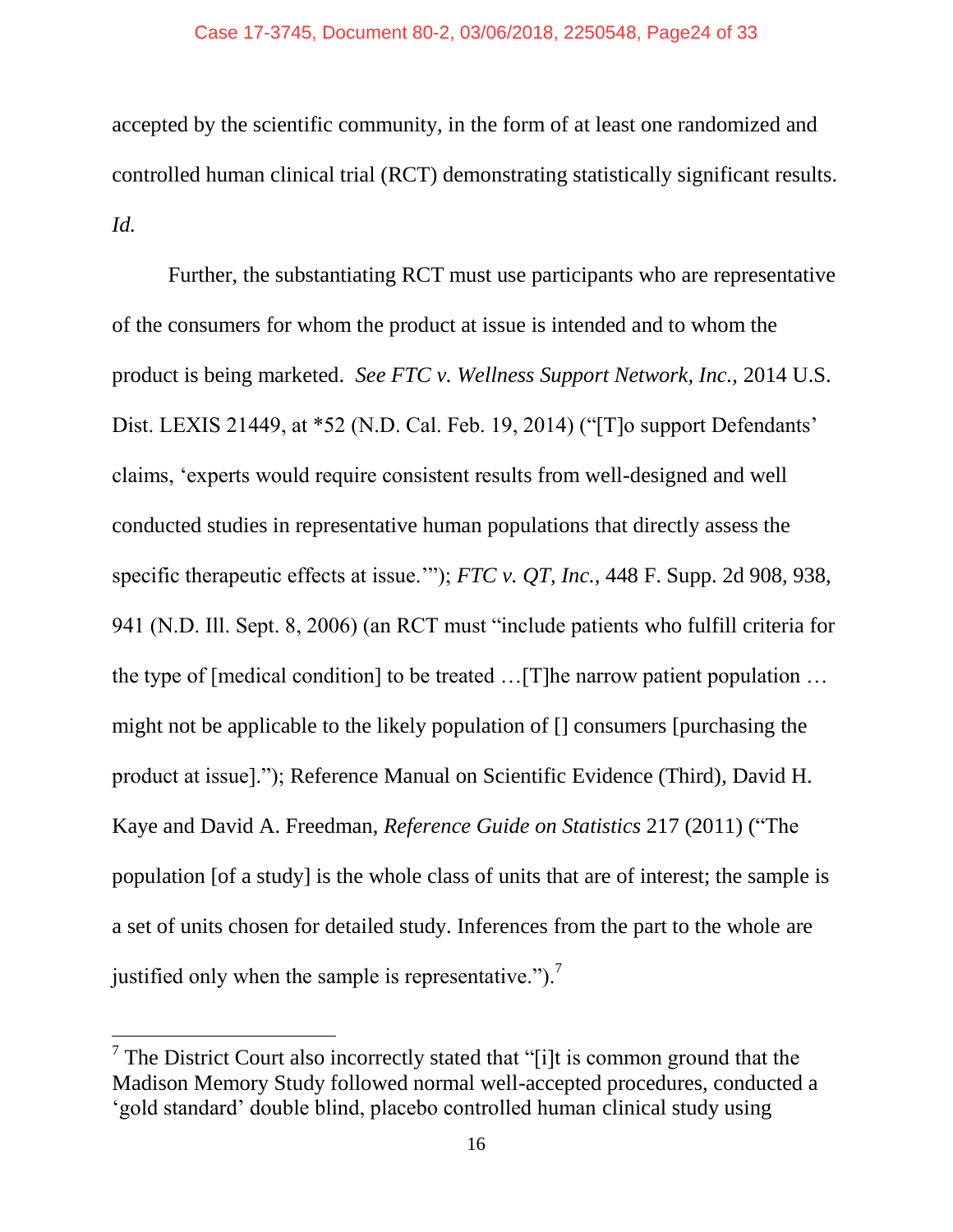accepted by the scientific community, in the form of at least one randomized and controlled human clinical trial (RCT) demonstrating statistically significant results. *Id.* 

Further, the substantiating RCT must use participants who are representative of the consumers for whom the product at issue is intended and to whom the product is being marketed. *See FTC v. Wellness Support Network, Inc.,* 2014 U.S. Dist. LEXIS 21449, at \*52 (N.D. Cal. Feb. 19, 2014) ("T]o support Defendants' claims, 'experts would require consistent results from well-designed and well conducted studies in representative human populations that directly assess the specific therapeutic effects at issue.'"); *FTC v. QT, Inc.,* 448 F. Supp. 2d 908, 938, 941 (N.D. Ill. Sept. 8, 2006) (an RCT must "include patients who fulfill criteria for the type of [medical condition] to be treated …[T]he narrow patient population … might not be applicable to the likely population of [] consumers [purchasing the product at issue]."); Reference Manual on Scientific Evidence (Third), David H. Kaye and David A. Freedman, *Reference Guide on Statistics* 217 (2011) ("The population [of a study] is the whole class of units that are of interest; the sample is a set of units chosen for detailed study. Inferences from the part to the whole are justified only when the sample is representative." $)^{7}$ .

<sup>&</sup>lt;sup>7</sup> The District Court also incorrectly stated that "[i]t is common ground that the Madison Memory Study followed normal well-accepted procedures, conducted a 'gold standard' double blind, placebo controlled human clinical study using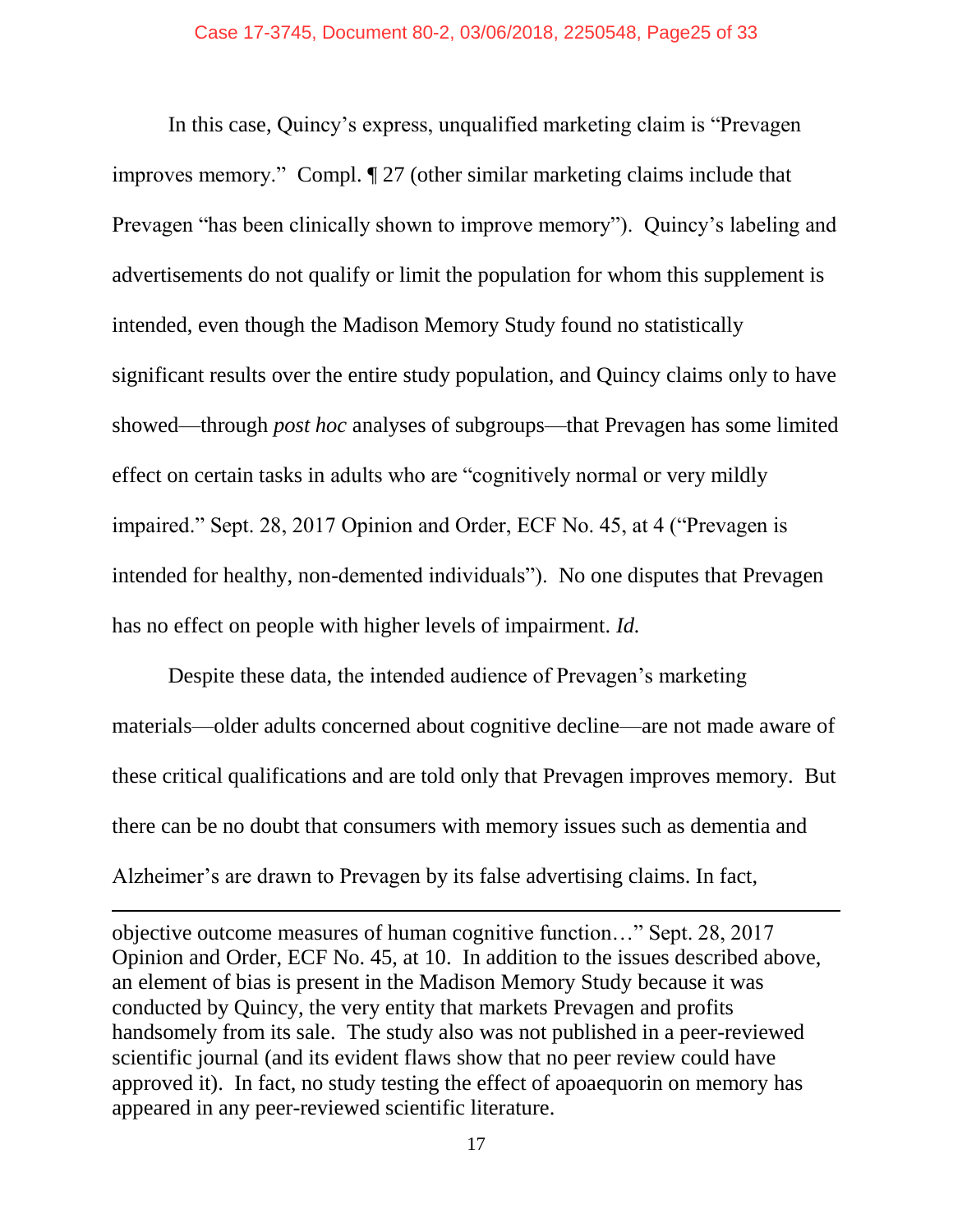In this case, Quincy's express, unqualified marketing claim is "Prevagen improves memory." Compl. ¶ 27 (other similar marketing claims include that Prevagen "has been clinically shown to improve memory"). Quincy's labeling and advertisements do not qualify or limit the population for whom this supplement is intended, even though the Madison Memory Study found no statistically significant results over the entire study population, and Quincy claims only to have showed—through *post hoc* analyses of subgroups—that Prevagen has some limited effect on certain tasks in adults who are "cognitively normal or very mildly impaired." Sept. 28, 2017 Opinion and Order, ECF No. 45, at 4 ("Prevagen is intended for healthy, non-demented individuals"). No one disputes that Prevagen has no effect on people with higher levels of impairment. *Id.*

Despite these data, the intended audience of Prevagen's marketing materials—older adults concerned about cognitive decline—are not made aware of these critical qualifications and are told only that Prevagen improves memory. But there can be no doubt that consumers with memory issues such as dementia and Alzheimer's are drawn to Prevagen by its false advertising claims. In fact,

objective outcome measures of human cognitive function…" Sept. 28, 2017 Opinion and Order, ECF No. 45, at 10. In addition to the issues described above, an element of bias is present in the Madison Memory Study because it was conducted by Quincy, the very entity that markets Prevagen and profits handsomely from its sale. The study also was not published in a peer-reviewed scientific journal (and its evident flaws show that no peer review could have approved it). In fact, no study testing the effect of apoaequorin on memory has appeared in any peer-reviewed scientific literature.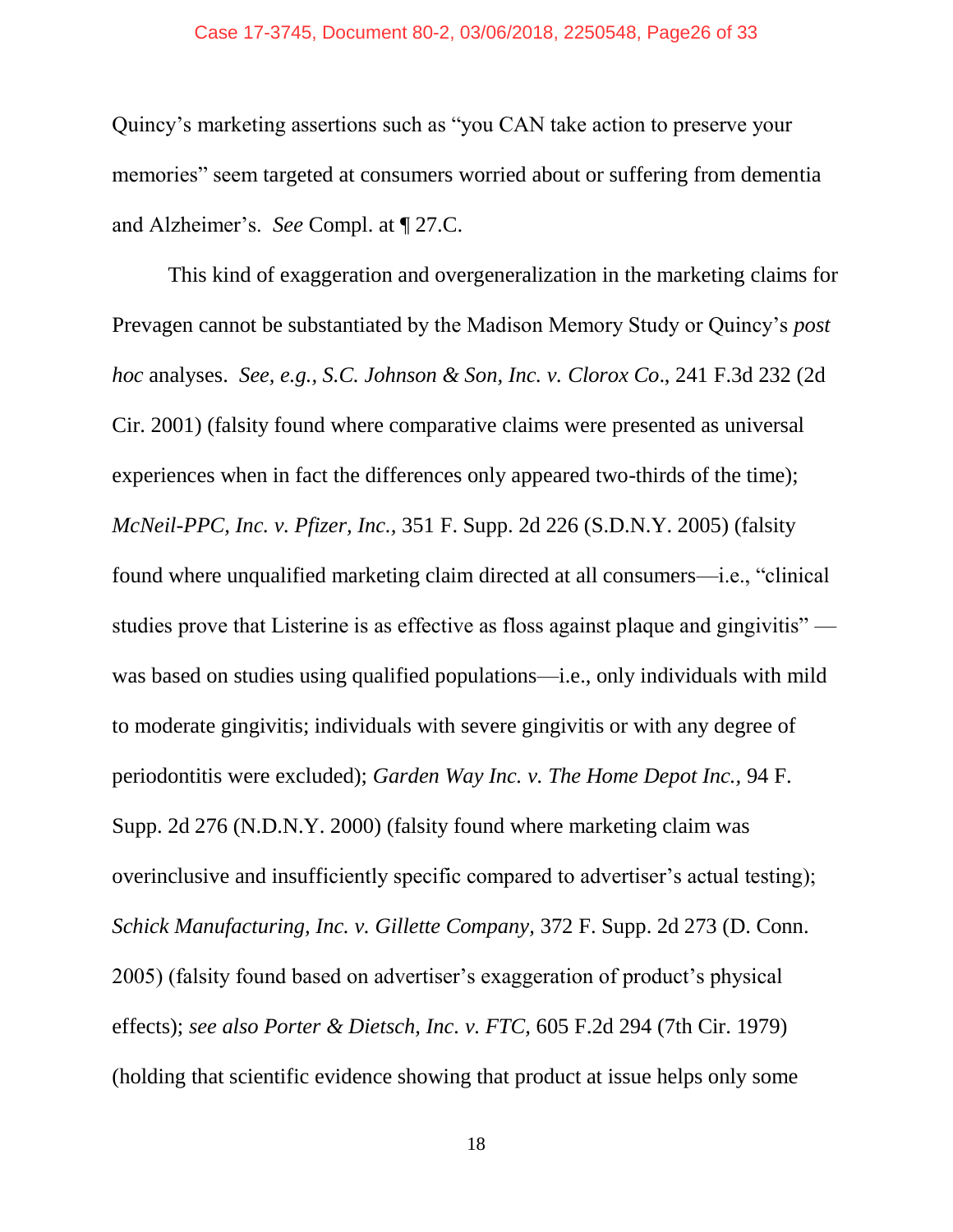#### Case 17-3745, Document 80-2, 03/06/2018, 2250548, Page26 of 33

Quincy's marketing assertions such as "you CAN take action to preserve your memories" seem targeted at consumers worried about or suffering from dementia and Alzheimer's. *See* Compl. at ¶ 27.C.

This kind of exaggeration and overgeneralization in the marketing claims for Prevagen cannot be substantiated by the Madison Memory Study or Quincy's *post hoc* analyses. *See, e.g., S.C. Johnson & Son, Inc. v. Clorox Co*., 241 F.3d 232 (2d Cir. 2001) (falsity found where comparative claims were presented as universal experiences when in fact the differences only appeared two-thirds of the time); *McNeil-PPC, Inc. v. Pfizer, Inc.,* 351 F. Supp. 2d 226 (S.D.N.Y. 2005) (falsity found where unqualified marketing claim directed at all consumers—i.e., "clinical studies prove that Listerine is as effective as floss against plaque and gingivitis" was based on studies using qualified populations—i.e., only individuals with mild to moderate gingivitis; individuals with severe gingivitis or with any degree of periodontitis were excluded); *Garden Way Inc. v. The Home Depot Inc.,* 94 F. Supp. 2d 276 (N.D.N.Y. 2000) (falsity found where marketing claim was overinclusive and insufficiently specific compared to advertiser's actual testing); *Schick Manufacturing, Inc. v. Gillette Company,* 372 F. Supp. 2d 273 (D. Conn. 2005) (falsity found based on advertiser's exaggeration of product's physical effects); *see also Porter & Dietsch, Inc. v. FTC,* 605 F.2d 294 (7th Cir. 1979) (holding that scientific evidence showing that product at issue helps only some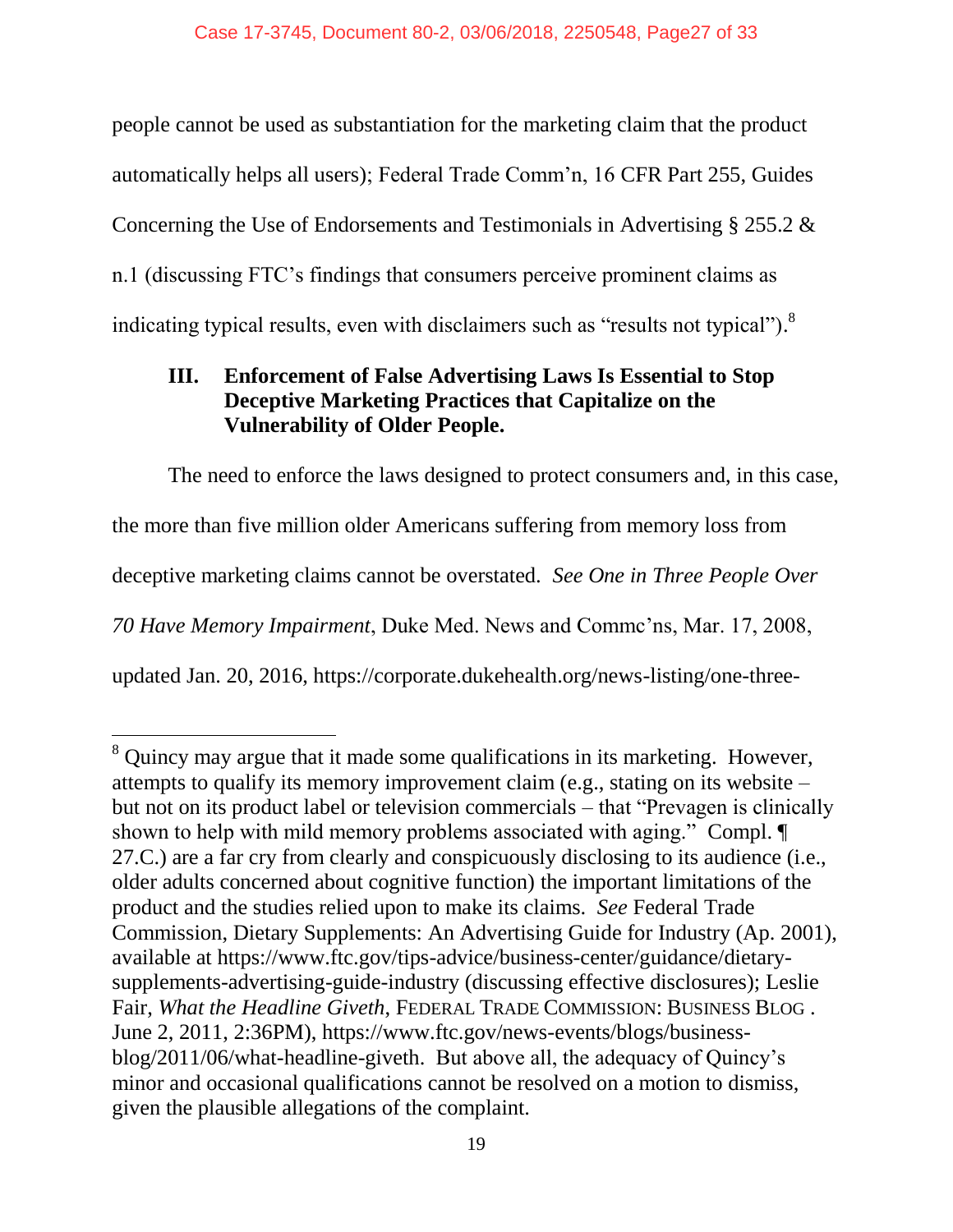people cannot be used as substantiation for the marketing claim that the product automatically helps all users); Federal Trade Comm'n, 16 CFR Part 255, Guides Concerning the Use of Endorsements and Testimonials in Advertising § 255.2 & n.1 (discussing FTC's findings that consumers perceive prominent claims as indicating typical results, even with disclaimers such as "results not typical").<sup>8</sup>

## **III. Enforcement of False Advertising Laws Is Essential to Stop Deceptive Marketing Practices that Capitalize on the Vulnerability of Older People.**

The need to enforce the laws designed to protect consumers and, in this case, the more than five million older Americans suffering from memory loss from deceptive marketing claims cannot be overstated. *See One in Three People Over 70 Have Memory Impairment*, Duke Med. News and Commc'ns, Mar. 17, 2008, updated Jan. 20, 2016, https://corporate.dukehealth.org/news-listing/one-three-

<sup>&</sup>lt;sup>8</sup> Quincy may argue that it made some qualifications in its marketing. However, attempts to qualify its memory improvement claim (e.g., stating on its website – but not on its product label or television commercials – that "Prevagen is clinically shown to help with mild memory problems associated with aging." Compl. 27.C.) are a far cry from clearly and conspicuously disclosing to its audience (i.e., older adults concerned about cognitive function) the important limitations of the product and the studies relied upon to make its claims. *See* Federal Trade Commission, Dietary Supplements: An Advertising Guide for Industry (Ap. 2001), available at [https://www.ftc.gov/tips-advice/business-center/guidance/dietary](https://www.ftc.gov/tips-advice/business-center/guidance/dietary-supplements-advertising-guide-industry)[supplements-advertising-guide-industry](https://www.ftc.gov/tips-advice/business-center/guidance/dietary-supplements-advertising-guide-industry) (discussing effective disclosures); Leslie Fair, *What the Headline Giveth*, FEDERAL TRADE COMMISSION: BUSINESS BLOG . June 2, 2011, 2:36PM), [https://www.ftc.gov/news-events/blogs/business](https://www.ftc.gov/news-events/blogs/business-blog/2011/06/what-headline-giveth)[blog/2011/06/what-headline-giveth.](https://www.ftc.gov/news-events/blogs/business-blog/2011/06/what-headline-giveth) But above all, the adequacy of Quincy's minor and occasional qualifications cannot be resolved on a motion to dismiss, given the plausible allegations of the complaint.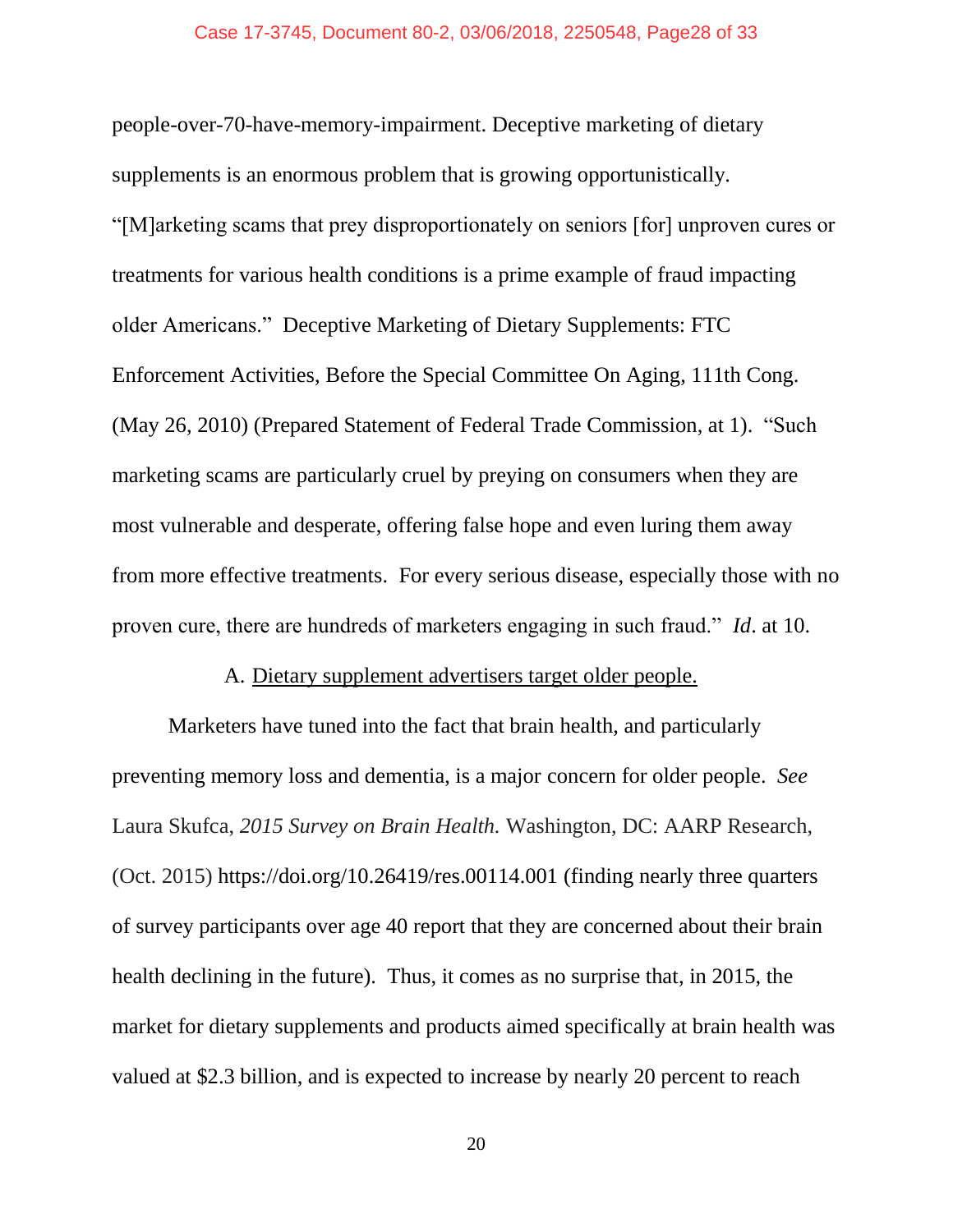people-over-70-have-memory-impairment. Deceptive marketing of dietary supplements is an enormous problem that is growing opportunistically. "[M]arketing scams that prey disproportionately on seniors [for] unproven cures or treatments for various health conditions is a prime example of fraud impacting older Americans." Deceptive Marketing of Dietary Supplements: FTC Enforcement Activities, Before the Special Committee On Aging, 111th Cong. (May 26, 2010) (Prepared Statement of Federal Trade Commission, at 1). "Such marketing scams are particularly cruel by preying on consumers when they are most vulnerable and desperate, offering false hope and even luring them away from more effective treatments. For every serious disease, especially those with no proven cure, there are hundreds of marketers engaging in such fraud." *Id*. at 10.

#### A. Dietary supplement advertisers target older people.

Marketers have tuned into the fact that brain health, and particularly preventing memory loss and dementia, is a major concern for older people. *See* Laura Skufca, *2015 Survey on Brain Health.* Washington, DC: AARP Research, (Oct. 2015) https://doi.org/10.26419/res.00114.001 (finding nearly three quarters of survey participants over age 40 report that they are concerned about their brain health declining in the future). Thus, it comes as no surprise that, in 2015, the market for dietary supplements and products aimed specifically at brain health was valued at \$2.3 billion, and is expected to increase by nearly 20 percent to reach

20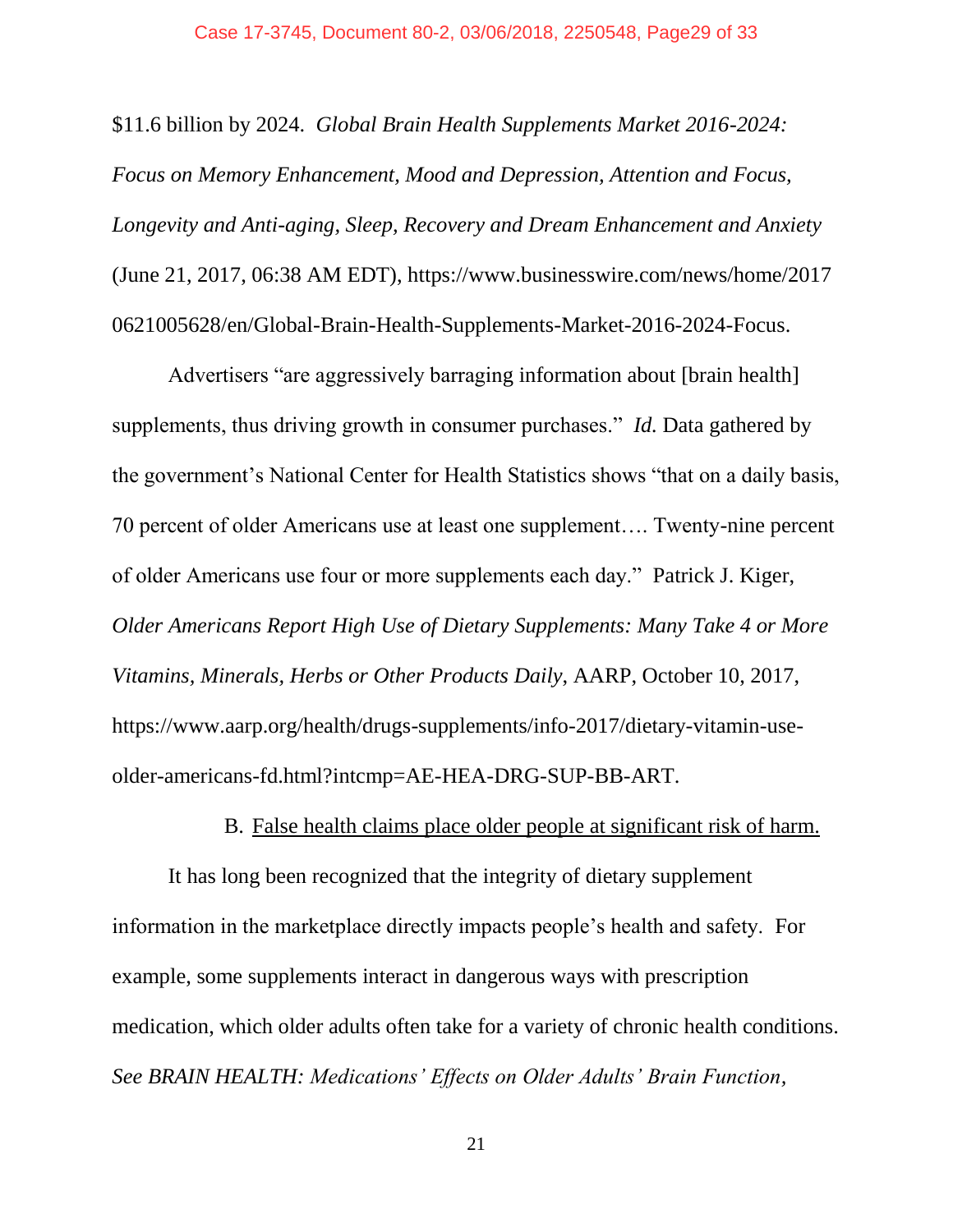\$11.6 billion by 2024. *Global Brain Health Supplements Market 2016-2024: Focus on Memory Enhancement, Mood and Depression, Attention and Focus, Longevity and Anti-aging, Sleep, Recovery and Dream Enhancement and Anxiety*  (June 21, 2017, 06:38 AM EDT), https://www.businesswire.com/news/home/2017 0621005628/en/Global-Brain-Health-Supplements-Market-2016-2024-Focus.

Advertisers "are aggressively barraging information about [brain health] supplements, thus driving growth in consumer purchases." *Id.* Data gathered by the government's National Center for Health Statistics shows "that on a daily basis, 70 percent of older Americans use at least one supplement…. Twenty-nine percent of older Americans use four or more supplements each day." Patrick J. Kiger, *Older Americans Report High Use of Dietary Supplements: Many Take 4 or More Vitamins, Minerals, Herbs or Other Products Daily*, AARP, October 10, 2017, https://www.aarp.org/health/drugs-supplements/info-2017/dietary-vitamin-useolder-americans-fd.html?intcmp=AE-HEA-DRG-SUP-BB-ART.

B. False health claims place older people at significant risk of harm.

It has long been recognized that the integrity of dietary supplement information in the marketplace directly impacts people's health and safety. For example, some supplements interact in dangerous ways with prescription medication, which older adults often take for a variety of chronic health conditions. *See BRAIN HEALTH: Medications' Effects on Older Adults' Brain Function,*

21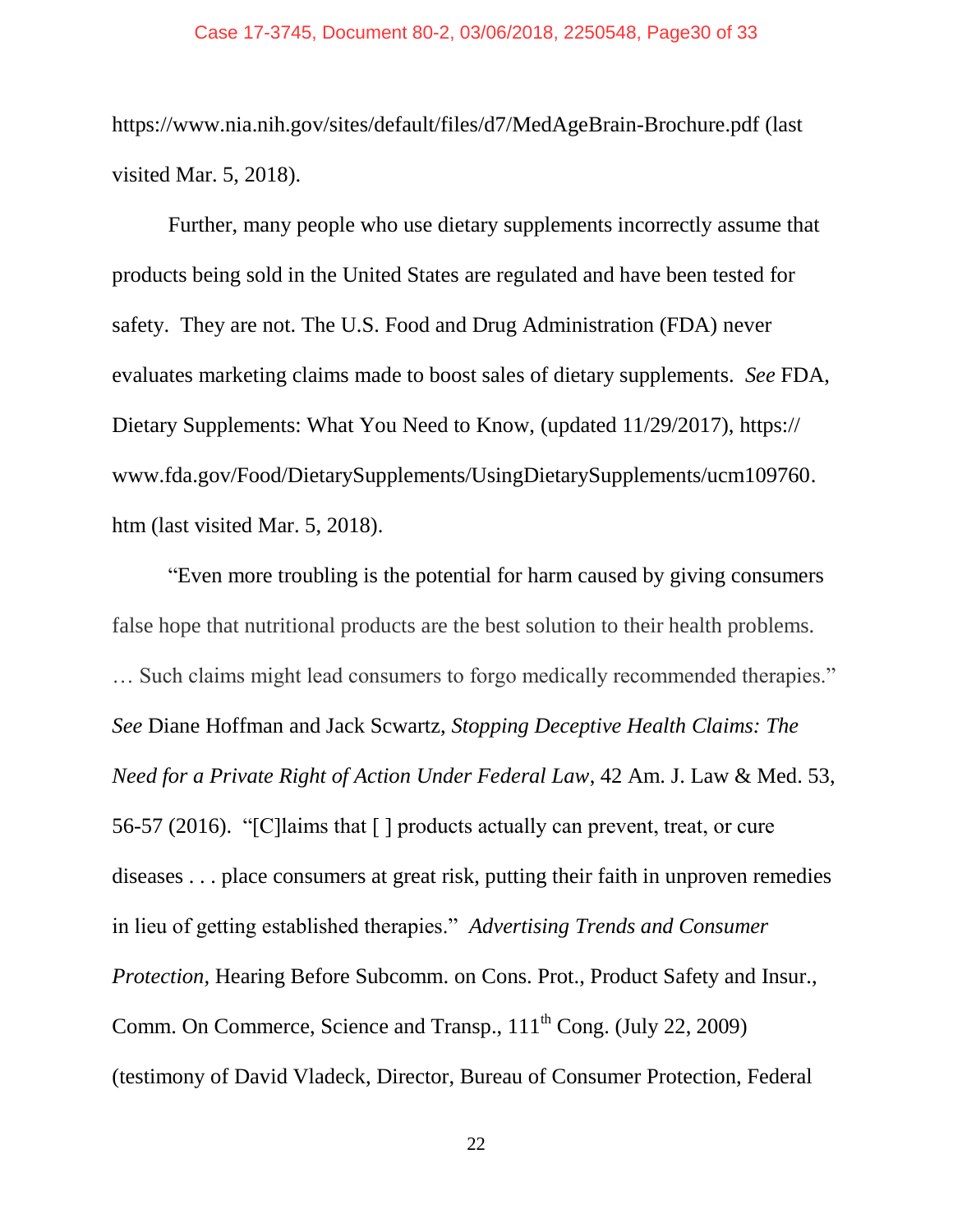https://www.nia.nih.gov/sites/default/files/d7/MedAgeBrain-Brochure.pdf (last visited Mar. 5, 2018).

Further, many people who use dietary supplements incorrectly assume that products being sold in the United States are regulated and have been tested for safety. They are not. The U.S. Food and Drug Administration (FDA) never evaluates marketing claims made to boost sales of dietary supplements. *See* FDA, Dietary Supplements: What You Need to Know, (updated 11/29/2017), https:// www.fda.gov/Food/DietarySupplements/UsingDietarySupplements/ucm109760. htm (last visited Mar. 5, 2018).

"Even more troubling is the potential for harm caused by giving consumers false hope that nutritional products are the best solution to their health problems. … Such claims might lead consumers to forgo medically recommended therapies." *See* Diane Hoffman and Jack Scwartz, *Stopping Deceptive Health Claims: The Need for a Private Right of Action Under Federal Law*, 42 Am. J. Law & Med. 53, 56-57 (2016). "[C]laims that [ ] products actually can prevent, treat, or cure diseases . . . place consumers at great risk, putting their faith in unproven remedies in lieu of getting established therapies." *Advertising Trends and Consumer Protection, Hearing Before Subcomm. on Cons. Prot., Product Safety and Insur.,* Comm. On Commerce, Science and Transp., 111<sup>th</sup> Cong. (July 22, 2009) (testimony of David Vladeck, Director, Bureau of Consumer Protection, Federal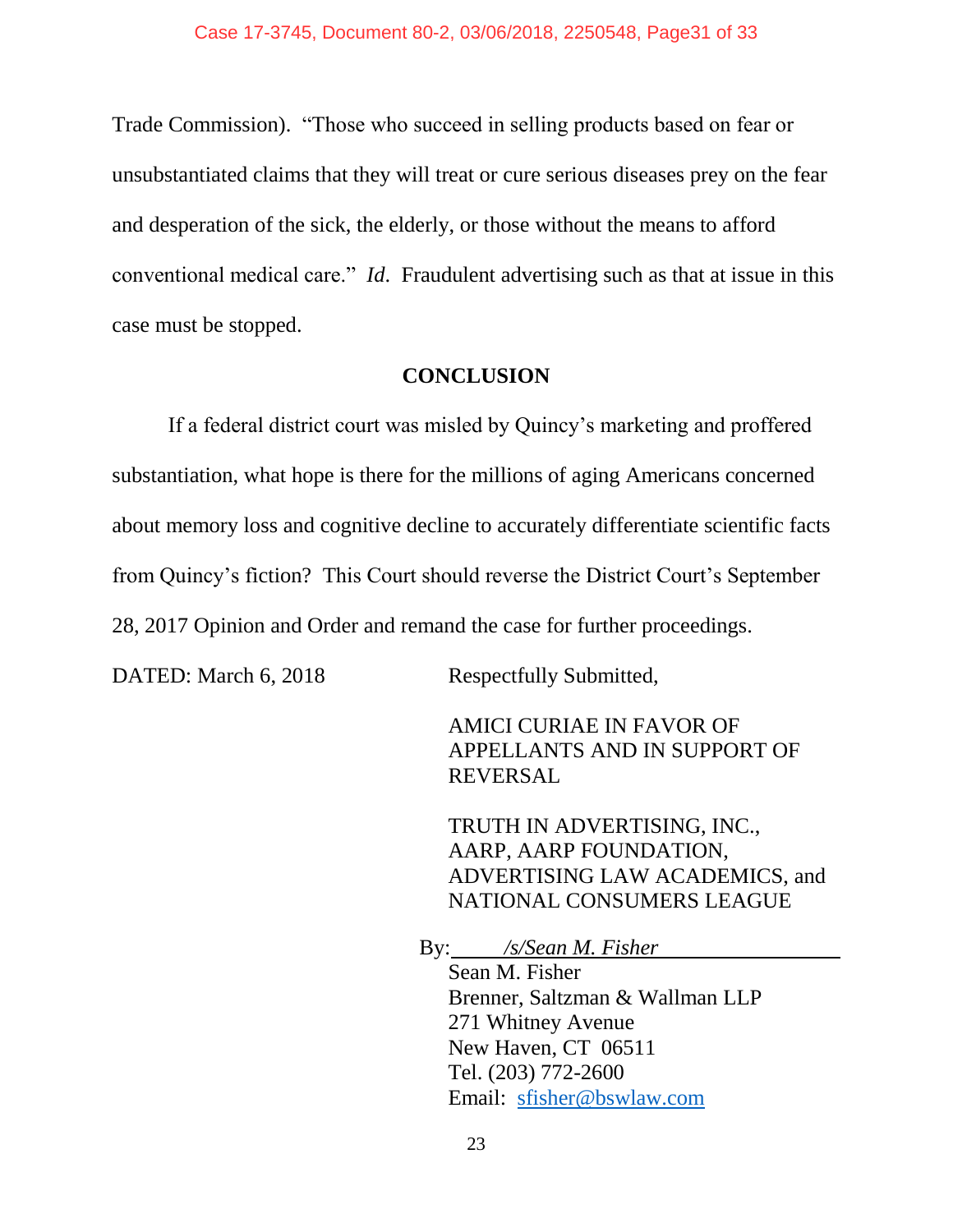Trade Commission). "Those who succeed in selling products based on fear or unsubstantiated claims that they will treat or cure serious diseases prey on the fear and desperation of the sick, the elderly, or those without the means to afford conventional medical care." *Id*. Fraudulent advertising such as that at issue in this case must be stopped.

#### **CONCLUSION**

If a federal district court was misled by Quincy's marketing and proffered substantiation, what hope is there for the millions of aging Americans concerned about memory loss and cognitive decline to accurately differentiate scientific facts from Quincy's fiction? This Court should reverse the District Court's September 28, 2017 Opinion and Order and remand the case for further proceedings.

DATED: March 6, 2018 Respectfully Submitted,

AMICI CURIAE IN FAVOR OF APPELLANTS AND IN SUPPORT OF REVERSAL

TRUTH IN ADVERTISING, INC., AARP, AARP FOUNDATION, ADVERTISING LAW ACADEMICS, and NATIONAL CONSUMERS LEAGUE

By: */s/Sean M. Fisher*

Sean M. Fisher Brenner, Saltzman & Wallman LLP 271 Whitney Avenue New Haven, CT 06511 Tel. (203) 772-2600 Email: [sfisher@bswlaw.com](mailto:sfisher@bswlaw.com)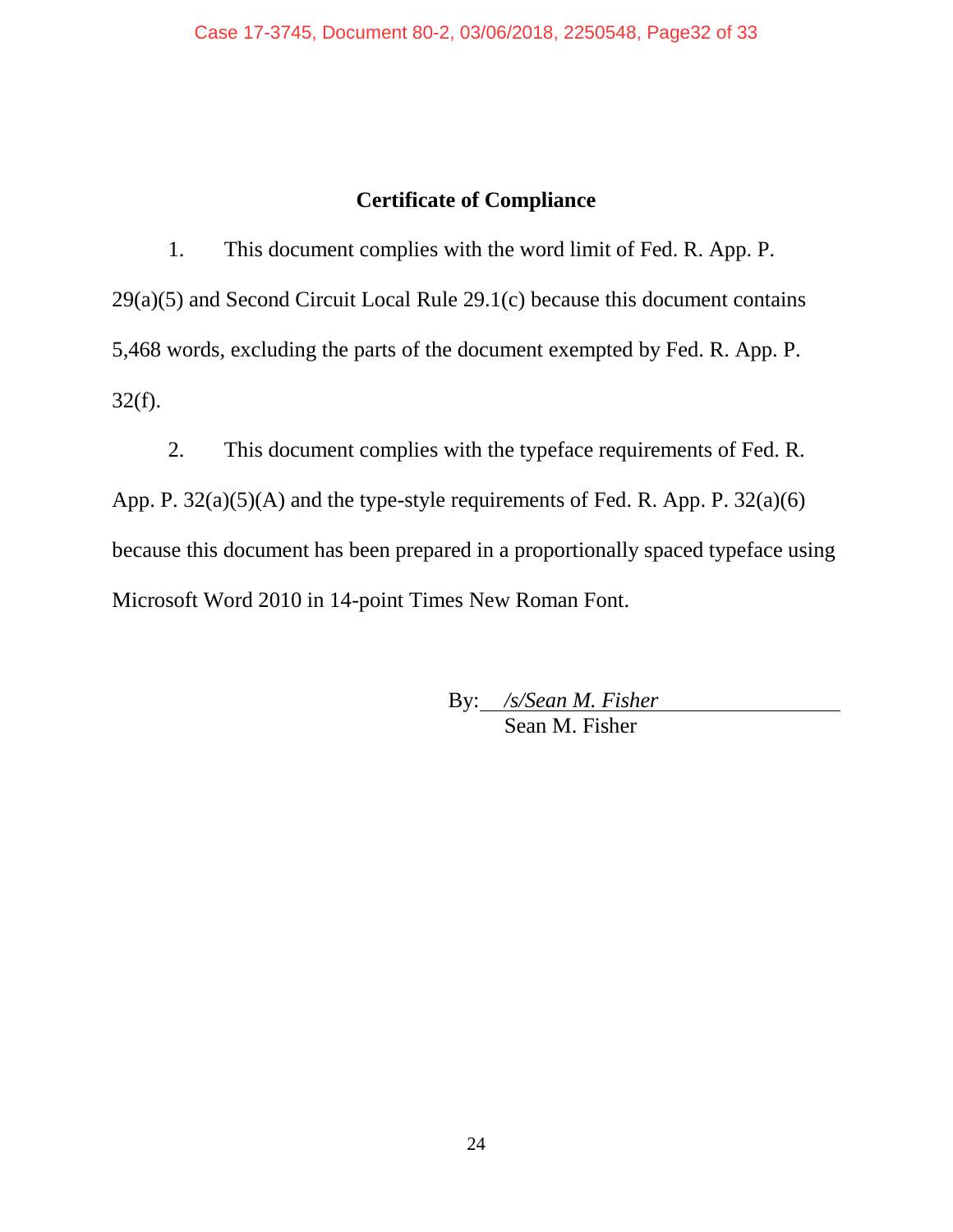### **Certificate of Compliance**

1. This document complies with the word limit of Fed. R. App. P. 29(a)(5) and Second Circuit Local Rule 29.1(c) because this document contains 5,468 words, excluding the parts of the document exempted by Fed. R. App. P. 32(f).

2. This document complies with the typeface requirements of Fed. R. App. P. 32(a)(5)(A) and the type-style requirements of Fed. R. App. P. 32(a)(6) because this document has been prepared in a proportionally spaced typeface using Microsoft Word 2010 in 14-point Times New Roman Font.

> By: */s/Sean M. Fisher* Sean M. Fisher